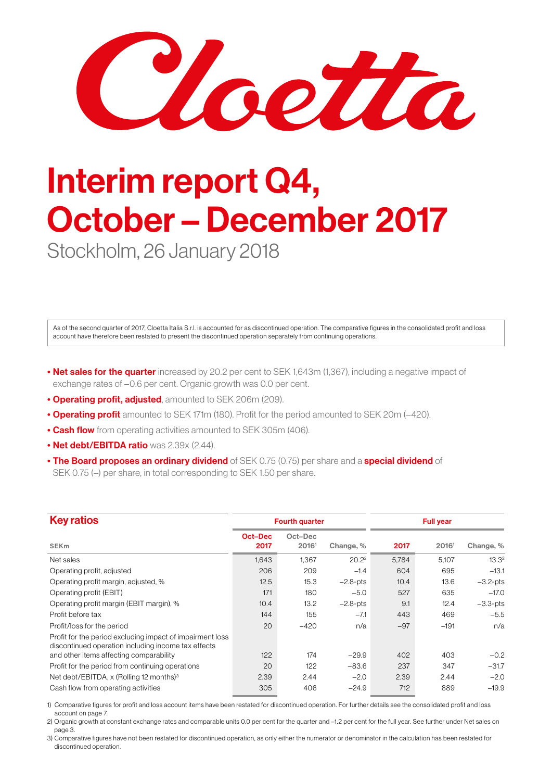Chetta

## Interim report Q4, October – December 2017

Stockholm, 26 January 2018

As of the second quarter of 2017, Cloetta Italia S.r.l. is accounted for as discontinued operation. The comparative figures in the consolidated profit and loss account have therefore been restated to present the discontinued operation separately from continuing operations.

- Net sales for the quarter increased by 20.2 per cent to SEK 1,643m (1,367), including a negative impact of exchange rates of –0.6 per cent. Organic growth was 0.0 per cent.
- Operating profit, adjusted, amounted to SEK 206m (209).
- Operating profit amounted to SEK 171m (180). Profit for the period amounted to SEK 20m (–420).
- Cash flow from operating activities amounted to SEK 305m (406).
- Net debt/EBITDA ratio was 2.39x (2.44).
- The Board proposes an ordinary dividend of SEK 0.75 (0.75) per share and a special dividend of SEK 0.75 (–) per share, in total corresponding to SEK 1.50 per share.

| <b>Key ratios</b>                                                                                                                                           |                 | <b>Fourth quarter</b> |                   |       | <b>Full year</b> |                   |
|-------------------------------------------------------------------------------------------------------------------------------------------------------------|-----------------|-----------------------|-------------------|-------|------------------|-------------------|
| <b>SEK<sub>m</sub></b>                                                                                                                                      | Oct-Dec<br>2017 | Oct-Dec<br>20161      | Change, %         | 2017  | 20161            | Change, %         |
| Net sales                                                                                                                                                   | 1,643           | 1,367                 | 20.2 <sup>2</sup> | 5,784 | 5,107            | 13.3 <sup>2</sup> |
| Operating profit, adjusted                                                                                                                                  | 206             | 209                   | $-1.4$            | 604   | 695              | $-13.1$           |
| Operating profit margin, adjusted, %                                                                                                                        | 12.5            | 15.3                  | $-2.8$ -pts       | 10.4  | 13.6             | $-3.2$ -pts       |
| Operating profit (EBIT)                                                                                                                                     | 171             | 180                   | $-5.0$            | 527   | 635              | $-17.0$           |
| Operating profit margin (EBIT margin), %                                                                                                                    | 10.4            | 13.2                  | $-2.8$ -pts       | 9.1   | 12.4             | $-3.3$ -pts       |
| Profit before tax                                                                                                                                           | 144             | 155                   | $-7.1$            | 443   | 469              | $-5.5$            |
| Profit/loss for the period                                                                                                                                  | 20              | $-420$                | n/a               | $-97$ | $-191$           | n/a               |
| Profit for the period excluding impact of impairment loss<br>discontinued operation including income tax effects<br>and other items affecting comparability | 122             | 174                   | $-29.9$           | 402   | 403              | $-0.2$            |
| Profit for the period from continuing operations                                                                                                            | 20              | 122                   | $-83.6$           | 237   | 347              | $-31.7$           |
| Net debt/EBITDA, x (Rolling 12 months) <sup>3</sup>                                                                                                         | 2.39            | 2.44                  | $-2.0$            | 2.39  | 2.44             | $-2.0$            |
| Cash flow from operating activities                                                                                                                         | 305             | 406                   | $-24.9$           | 712   | 889              | $-19.9$           |

1) Comparative figures for profit and loss account items have been restated for discontinued operation. For further details see the consolidated profit and loss account on page 7.

2) Organic growth at constant exchange rates and comparable units 0.0 per cent for the quarter and –1.2 per cent for the full year. See further under Net sales on page 3.

3) Comparative figures have not been restated for discontinued operation, as only either the numerator or denominator in the calculation has been restated for discontinued operation.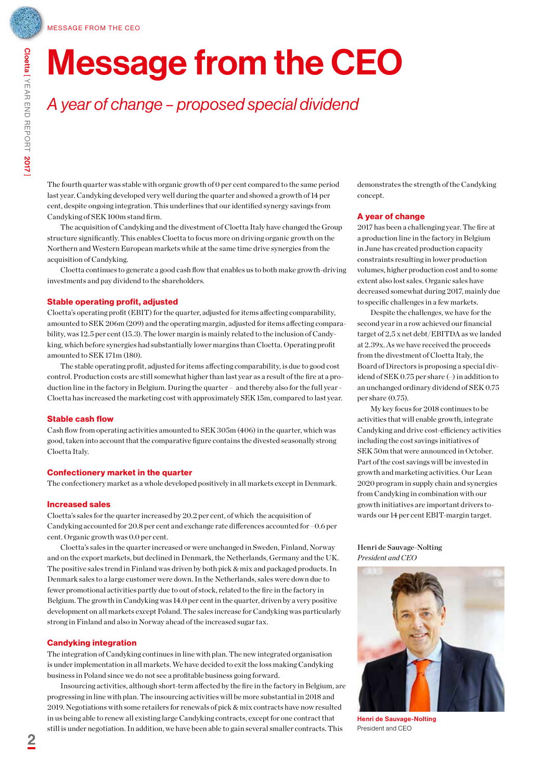## Message from the CEO

### *A year of change – proposed special dividend*

The fourth quarter was stable with organic growth of 0 per cent compared to the same period last year. Candyking developed very well during the quarter and showed a growth of 14 per cent, despite ongoing integration. This underlines that our identified synergy savings from Candyking of SEK 100m stand firm.

The acquisition of Candyking and the divestment of Cloetta Italy have changed the Group structure significantly. This enables Cloetta to focus more on driving organic growth on the Northern and Western European markets while at the same time drive synergies from the acquisition of Candyking.

Cloetta continues to generate a good cash flow that enables us to both make growth-driving investments and pay dividend to the shareholders.

### Stable operating profit, adjusted

Cloetta's operating profit (EBIT) for the quarter, adjusted for items affecting comparability, amounted to SEK 206m (209) and the operating margin, adjusted for items affecting comparability, was 12.5 per cent (15.3). The lower margin is mainly related to the inclusion of Candyking, which before synergies had substantially lower margins than Cloetta. Operating profit amounted to SEK 171m (180).

The stable operating profit, adjusted for items affecting comparability, is due to good cost control. Production costs are still somewhat higher than last year as a result of the fire at a production line in the factory in Belgium. During the quarter – and thereby also for the full year - Cloetta has increased the marketing cost with approximately SEK 15m, compared to last year.

#### Stable cash flow

Cash flow from operating activities amounted to SEK 305m (406) in the quarter, which was good, taken into account that the comparative figure contains the divested seasonally strong Cloetta Italy.

#### Confectionery market in the quarter

The confectionery market as a whole developed positively in all markets except in Denmark.

### Increased sales

Cloetta's sales for the quarter increased by 20.2 per cent, of which the acquisition of Candyking accounted for 20.8 per cent and exchange rate differences accounted for –0.6 per cent. Organic growth was 0.0 per cent.

Cloetta's sales in the quarter increased or were unchanged in Sweden, Finland, Norway and on the export markets, but declined in Denmark, the Netherlands, Germany and the UK. The positive sales trend in Finland was driven by both pick & mix and packaged products. In Denmark sales to a large customer were down. In the Netherlands, sales were down due to fewer promotional activities partly due to out of stock, related to the fire in the factory in Belgium. The growth in Candyking was 14.0 per cent in the quarter, driven by a very positive development on all markets except Poland. The sales increase for Candyking was particularly strong in Finland and also in Norway ahead of the increased sugar tax.

### Candyking integration

The integration of Candyking continues in line with plan. The new integrated organisation is under implementation in all markets. We have decided to exit the loss making Candyking business in Poland since we do not see a profitable business going forward.

Insourcing activities, although short-term affected by the fire in the factory in Belgium, are progressing in line with plan. The insourcing activities will be more substantial in 2018 and 2019. Negotiations with some retailers for renewals of pick & mix contracts have now resulted in us being able to renew all existing large Candyking contracts, except for one contract that still is under negotiation. In addition, we have been able to gain several smaller contracts. This

demonstrates the strength of the Candyking concept.

#### A year of change

2017 has been a challenging year. The fire at a production line in the factory in Belgium in June has created production capacity constraints resulting in lower production volumes, higher production cost and to some extent also lost sales. Organic sales have decreased somewhat during 2017, mainly due to specific challenges in a few markets.

Despite the challenges, we have for the second year in a row achieved our financial target of 2,5 x net debt/EBITDA as we landed at 2.39x. As we have received the proceeds from the divestment of Cloetta Italy, the Board of Directors is proposing a special dividend of SEK 0.75 per share (–) in addition to an unchanged ordinary dividend of SEK 0.75 per share (0.75).

My key focus for 2018 continues to be activities that will enable growth, integrate Candyking and drive cost-efficiency activities including the cost savings initiatives of SEK 50m that were announced in October. Part of the cost savings will be invested in growth and marketing activities. Our Lean 2020 program in supply chain and synergies from Candyking in combination with our growth initiatives are important drivers towards our 14 per cent EBIT-margin target.

Henri de Sauvage-Nolting *President and CEO*



Henri de Sauvage-Nolting President and CEO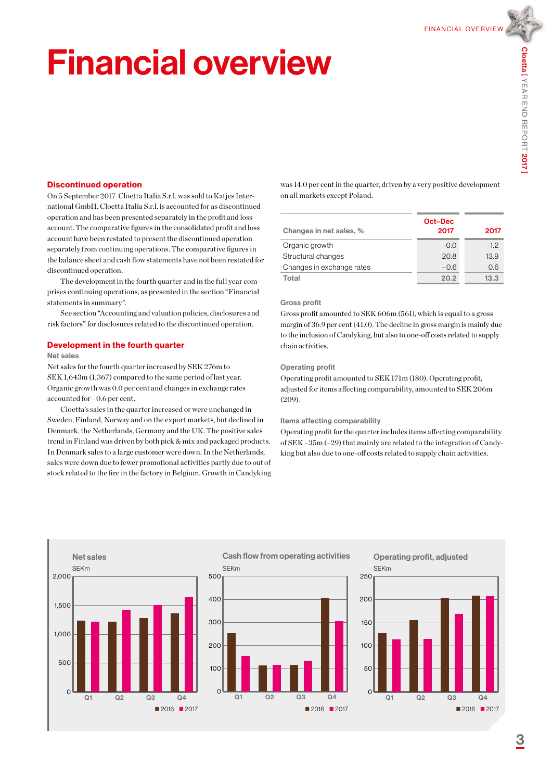Financial overview

## Financial overview

### Discontinued operation

On 5 September 2017 Cloetta Italia S.r.l. was sold to Katjes International GmbH. Cloetta Italia S.r.l. is accounted for as discontinued operation and has been presented separately in the profit and loss account. The comparative figures in the consolidated profit and loss account have been restated to present the discontinued operation separately from continuing operations. The comparative figures in the balance sheet and cash flow statements have not been restated for discontinued operation.

The development in the fourth quarter and in the full year comprises continuing operations, as presented in the section "Financial statements in summary".

See section "Accounting and valuation policies, disclosures and risk factors" for disclosures related to the discontinued operation.

#### Development in the fourth quarter

#### Net sales

Net sales for the fourth quarter increased by SEK 276m to SEK 1,643m (1,367) compared to the same period of last year. Organic growth was 0.0 per cent and changes in exchange rates accounted for –0.6 per cent.

Cloetta's sales in the quarter increased or were unchanged in Sweden, Finland, Norway and on the export markets, but declined in Denmark, the Netherlands, Germany and the UK. The positive sales trend in Finland was driven by both pick & mix and packaged products. In Denmark sales to a large customer were down. In the Netherlands, sales were down due to fewer promotional activities partly due to out of stock related to the fire in the factory in Belgium. Growth in Candyking was 14.0 per cent in the quarter, driven by a very positive development on all markets except Poland.

| Changes in net sales, %   | Oct-Dec<br>2017 | 2017  |
|---------------------------|-----------------|-------|
| Organic growth            | 0.0             | $-12$ |
| Structural changes        | 20.8            | 13.9  |
| Changes in exchange rates | $-0.6$          | 0.6   |
| Total                     | 20.2            | 13.3  |

#### Gross profit

Gross profit amounted to SEK 606m (561), which is equal to a gross margin of 36.9 per cent (41.0). The decline in gross margin is mainly due to the inclusion of Candyking, but also to one-off costs related to supply chain activities.

#### Operating profit

Operating profit amounted to SEK 171m (180). Operating profit, adjusted for items affecting comparability, amounted to SEK 206m (209).

#### Items affecting comparability

Operating profit for the quarter includes items affecting comparability of SEK –35m (–29) that mainly are related to the integration of Candyking but also due to one-off costs related to supply chain activities.

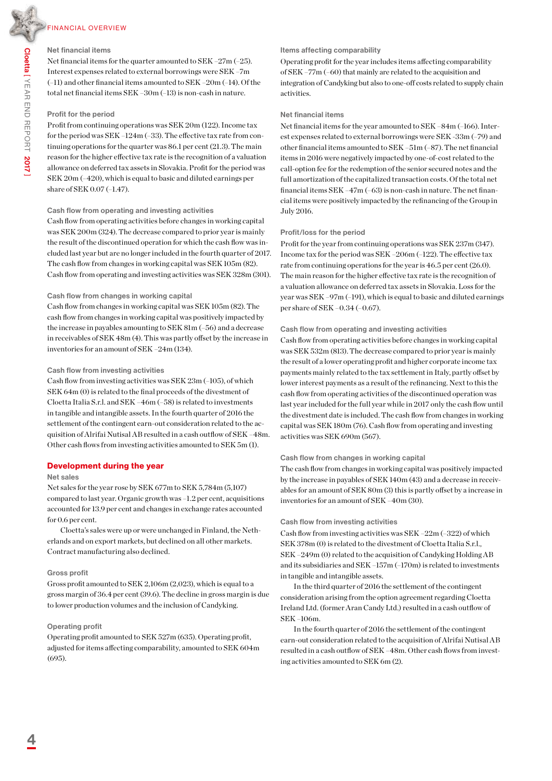### Financial overview

### Net financial items

Net financial items for the quarter amounted to SEK –27m (–25). Interest expenses related to external borrowings were SEK –7m (–11) and other financial items amounted to SEK –20m (–14). Of the total net financial items SEK –30m (–13) is non-cash in nature.

### Profit for the period

Profit from continuing operations was SEK 20m (122). Income tax for the period was SEK –124m (–33). The effective tax rate from continuing operations for the quarter was 86.1 per cent (21.3). The main reason for the higher effective tax rate is the recognition of a valuation allowance on deferred tax assets in Slovakia. Profit for the period was SEK 20m (–420), which is equal to basic and diluted earnings per share of SEK 0.07 (–1.47).

#### Cash flow from operating and investing activities

Cash flow from operating activities before changes in working capital was SEK 200m (324). The decrease compared to prior year is mainly the result of the discontinued operation for which the cash flow was included last year but are no longer included in the fourth quarter of 2017. The cash flow from changes in working capital was SEK 105m (82). Cash flow from operating and investing activities was SEK 328m (301).

### Cash flow from changes in working capital

Cash flow from changes in working capital was SEK 105m (82). The cash flow from changes in working capital was positively impacted by the increase in payables amounting to SEK 81m (–56) and a decrease in receivables of SEK 48m (4). This was partly offset by the increase in inventories for an amount of SEK –24m (134).

### Cash flow from investing activities

Cash flow from investing activities was SEK 23m (–105), of which SEK 64m (0) is related to the final proceeds of the divestment of Cloetta Italia S.r.l. and SEK –46m (–58) is related to investments in tangible and intangible assets. In the fourth quarter of 2016 the settlement of the contingent earn-out consideration related to the acquisition of Alrifai Nutisal AB resulted in a cash outflow of SEK –48m. Other cash flows from investing activities amounted to SEK 5m (1).

### Development during the year

### Net sales

Net sales for the year rose by SEK 677m to SEK 5,784m (5,107) compared to last year. Organic growth was –1.2 per cent, acquisitions accounted for 13.9 per cent and changes in exchange rates accounted for 0.6 per cent.

Cloetta's sales were up or were unchanged in Finland, the Netherlands and on export markets, but declined on all other markets. Contract manufacturing also declined.

### Gross profit

Gross profit amounted to SEK 2,106m (2,023), which is equal to a gross margin of 36.4 per cent (39.6). The decline in gross margin is due to lower production volumes and the inclusion of Candyking.

### Operating profit

Operating profit amounted to SEK 527m (635). Operating profit, adjusted for items affecting comparability, amounted to SEK 604m (695).

### Items affecting comparability

Operating profit for the year includes items affecting comparability of SEK –77m (–60) that mainly are related to the acquisition and integration of Candyking but also to one-off costs related to supply chain activities.

### Net financial items

Net financial items for the year amounted to SEK –84m (–166). Interest expenses related to external borrowings were SEK -33m (–79) and other financial items amounted to SEK –51m (–87). The net financial items in 2016 were negatively impacted by one-of-cost related to the call-option fee for the redemption of the senior secured notes and the full amortization of the capitalized transaction costs. Of the total net financial items SEK –47m (–63) is non-cash in nature. The net financial items were positively impacted by the refinancing of the Group in July 2016.

### Profit/loss for the period

Profit for the year from continuing operations was SEK 237m (347). Income tax for the period was SEK –206m (–122). The effective tax rate from continuing operations for the year is 46.5 per cent (26.0). The main reason for the higher effective tax rate is the recognition of a valuation allowance on deferred tax assets in Slovakia. Loss for the year was SEK –97m (–191), which is equal to basic and diluted earnings per share of SEK –0.34 (–0.67).

### Cash flow from operating and investing activities

Cash flow from operating activities before changes in working capital was SEK 532m (813). The decrease compared to prior year is mainly the result of a lower operating profit and higher corporate income tax payments mainly related to the tax settlement in Italy, partly offset by lower interest payments as a result of the refinancing. Next to this the cash flow from operating activities of the discontinued operation was last year included for the full year while in 2017 only the cash flow until the divestment date is included. The cash flow from changes in working capital was SEK 180m (76). Cash flow from operating and investing activities was SEK 690m (567).

### Cash flow from changes in working capital

The cash flow from changes in working capital was positively impacted by the increase in payables of SEK 140m (43) and a decrease in receivables for an amount of SEK 80m (3) this is partly offset by a increase in inventories for an amount of SEK –40m (30).

### Cash flow from investing activities

Cash flow from investing activities was SEK –22m (–322) of which SEK 378m (0) is related to the divestment of Cloetta Italia S.r.l., SEK –249m (0) related to the acquisition of Candyking Holding AB and its subsidiaries and SEK –157m (–170m) is related to investments in tangible and intangible assets.

In the third quarter of 2016 the settlement of the contingent consideration arising from the option agreement regarding Cloetta Ireland Ltd. (former Aran Candy Ltd.) resulted in a cash outflow of SEK –106m.

In the fourth quarter of 2016 the settlement of the contingent earn-out consideration related to the acquisition of Alrifai Nutisal AB resulted in a cash outflow of SEK –48m. Other cash flows from investing activities amounted to SEK 6m (2).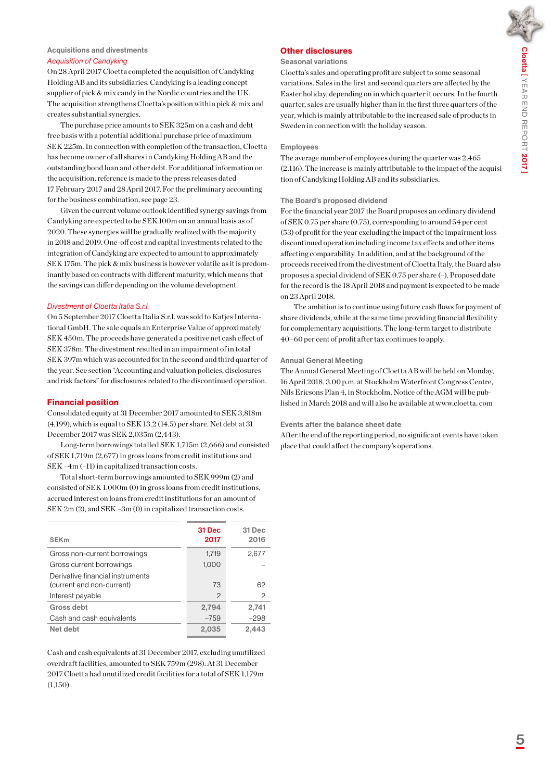### Acquisitions and divestments

### *Acquisition of Candyking*

On 28 April 2017 Cloetta completed the acquisition of Candyking Holding AB and its subsidiaries. Candyking is a leading concept supplier of pick & mix candy in the Nordic countries and the UK. The acquisition strengthens Cloetta's position within pick & mix and creates substantial synergies.

The purchase price amounts to SEK 325m on a cash and debt free basis with a potential additional purchase price of maximum SEK 225m. In connection with completion of the transaction, Cloetta has become owner of all shares in Candyking Holding AB and the outstanding bond loan and other debt. For additional information on the acquisition, reference is made to the press releases dated 17 February 2017 and 28 April 2017. For the preliminary accounting for the business combination, see page 23.

Given the current volume outlook identified synergy savings from Candyking are expected to be SEK 100m on an annual basis as of 2020. These synergies will be gradually realized with the majority in 2018 and 2019. One-off cost and capital investments related to the integration of Candyking are expected to amount to approximately SEK 175m. The pick & mix business is however volatile as it is predominantly based on contracts with different maturity, which means that the savings can differ depending on the volume development.

### *Divestment of Cloetta Italia S.r.l.*

On 5 September 2017 Cloetta Italia S.r.l. was sold to Katjes International GmbH. The sale equals an Enterprise Value of approximately SEK 450m. The proceeds have generated a positive net cash effect of SEK 378m. The divestment resulted in an impairment of in total SEK 397m which was accounted for in the second and third quarter of the year. See section "Accounting and valuation policies, disclosures and risk factors" for disclosures related to the discontinued operation.

### Financial position

Consolidated equity at 31 December 2017 amounted to SEK 3,818m (4,199), which is equal to SEK 13.2 (14.5) per share. Net debt at 31 December 2017 was SEK 2,035m (2,443).

Long-term borrowings totalled SEK 1,715m (2,666) and consisted of SEK 1,719m (2,677) in gross loans from credit institutions and SEK –4m (–11) in capitalized transaction costs.

Total short-term borrowings amounted to SEK 999m (2) and consisted of SEK 1.000m (0) in gross loans from credit institutions, accrued interest on loans from credit institutions for an amount of SEK 2m (2), and SEK –3m (0) in capitalized transaction costs.

| <b>SEK<sub>m</sub></b>                                        | 31 Dec<br>2017 | 31 Dec<br>2016 |
|---------------------------------------------------------------|----------------|----------------|
| Gross non-current borrowings                                  | 1.719          | 2,677          |
| Gross current borrowings                                      | 1,000          |                |
| Derivative financial instruments<br>(current and non-current) | 73             | 62             |
| Interest payable                                              | $\overline{c}$ | 2              |
| Gross debt                                                    | 2,794          | 2,741          |
| Cash and cash equivalents                                     | $-759$         | $-298$         |
| Net debt                                                      | 2,035          | 2,443          |

Cash and cash equivalents at 31 December 2017, excluding unutilized overdraft facilities, amounted to SEK 759m (298). At 31 December 2017 Cloetta had unutilized credit facilities for a total of SEK 1,179m (1,150).

### Other disclosures

#### Seasonal variations

Cloetta's sales and operating profit are subject to some seasonal variations. Sales in the first and second quarters are affected by the Easter holiday, depending on in which quarter it occurs. In the fourth quarter, sales are usually higher than in the first three quarters of the year, which is mainly attributable to the increased sale of products in Sweden in connection with the holiday season.

#### Employees

The average number of employees during the quarter was 2.465 (2.116). The increase is mainly attributable to the impact of the acquisition of Candyking Holding AB and its subsidiaries.

### The Board's proposed dividend

For the financial year 2017 the Board proposes an ordinary dividend of SEK 0.75 per share (0.75), corresponding to around 54 per cent (53) of profit for the year excluding the impact of the impairment loss discontinued operation including income tax effects and other items affecting comparability. In addition, and at the background of the proceeds received from the divestment of Cloetta Italy, the Board also proposes a special dividend of SEK 0.75 per share (–). Proposed date for the record is the 18 April 2018 and payment is expected to be made on 23 April 2018.

The ambition is to continue using future cash flows for payment of share dividends, while at the same time providing financial flexibility for complementary acquisitions. The long-term target to distribute 40–60 per cent of profit after tax continues to apply.

### Annual General Meeting

The Annual General Meeting of Cloetta AB will be held on Monday, 16 April 2018, 3.00 p.m. at Stockholm Waterfront Congress Centre, Nils Ericsons Plan 4, in Stockholm. Notice of the AGM will be published in March 2018 and will also be available at www.cloetta. com

### Events after the balance sheet date

After the end of the reporting period, no significant events have taken place that could affect the company's operations.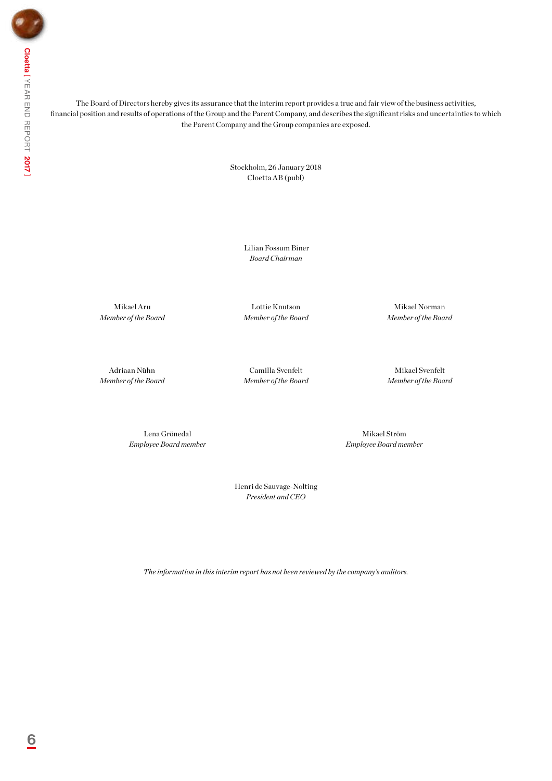The Board of Directors hereby gives its assurance that the interim report provides a true and fair view of the business activities, financial position and results of operations of the Group and the Parent Company, and describes the significant risks and uncertainties to which the Parent Company and the Group companies are exposed.

> Stockholm, 26 January 2018 Cloetta AB (publ)

> > Lilian Fossum Biner *Board Chairman*

Mikael Aru *Member of the Board*

Lottie Knutson *Member of the Board*

Mikael Norman *Member of the Board*

Adriaan Nühn *Member of the Board*

Camilla Svenfelt *Member of the Board*

Mikael Svenfelt *Member of the Board*

Lena Grönedal *Employee Board member*

Mikael Ström *Employee Board member*

Henri de Sauvage-Nolting *President and CEO*

*The information in this interim report has not been reviewed by the company's auditors.*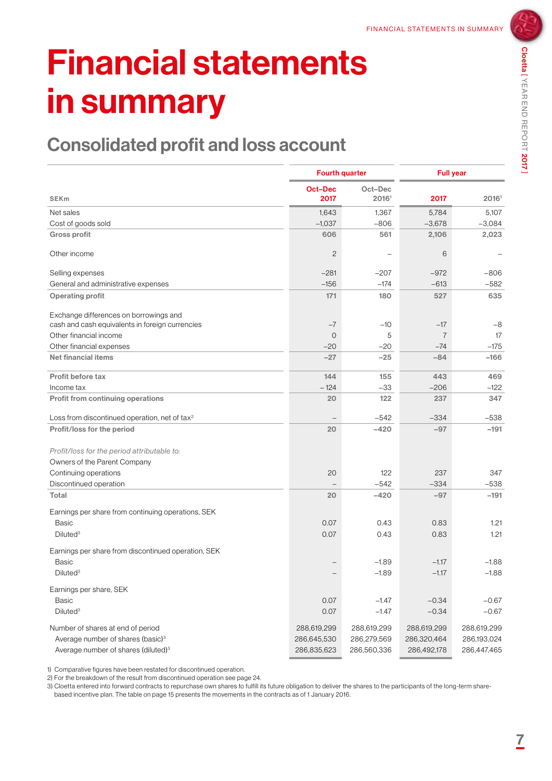## Financial statements in summary

### Consolidated profit and loss account

|                                                                                           |                        | <b>Fourth quarter</b>    |                | <b>Full year</b> |  |
|-------------------------------------------------------------------------------------------|------------------------|--------------------------|----------------|------------------|--|
| <b>SEKm</b>                                                                               | <b>Oct-Dec</b><br>2017 | Oct-Dec<br>20161         | 2017           | 20161            |  |
| Net sales                                                                                 | 1,643                  | 1,367                    | 5,784          | 5,107            |  |
| Cost of goods sold                                                                        | $-1,037$               | $-806$                   | $-3,678$       | $-3,084$         |  |
| <b>Gross profit</b>                                                                       | 606                    | 561                      | 2,106          | 2,023            |  |
| Other income                                                                              | $\overline{c}$         | $\overline{\phantom{0}}$ | 6              |                  |  |
| Selling expenses                                                                          | $-281$                 | $-207$                   | $-972$         | $-806$           |  |
| General and administrative expenses                                                       | $-156$                 | $-174$                   | $-613$         | $-582$           |  |
| <b>Operating profit</b>                                                                   | 171                    | 180                      | 527            | 635              |  |
| Exchange differences on borrowings and<br>cash and cash equivalents in foreign currencies | $-7$                   | $-10$                    | $-17$          | $-8$             |  |
| Other financial income                                                                    | $\overline{O}$         | 5                        | $\overline{7}$ | 17               |  |
| Other financial expenses                                                                  | $-20$                  | $-20$                    | $-74$          | $-175$           |  |
| Net financial items                                                                       | $-27$                  | $-25$                    | $-84$          | $-166$           |  |
| Profit before tax                                                                         | 144                    | 155                      | 443            | 469              |  |
| Income tax                                                                                | $-124$                 | $-33$                    | $-206$         | $-122$           |  |
| Profit from continuing operations                                                         | 20                     | 122                      | 237            | 347              |  |
| Loss from discontinued operation, net of tax <sup>2</sup>                                 |                        | $-542$                   | $-334$         | $-538$           |  |
| Profit/loss for the period                                                                | 20                     | $-420$                   | $-97$          | $-191$           |  |
| Profit/loss for the period attributable to:                                               |                        |                          |                |                  |  |
| Owners of the Parent Company                                                              |                        |                          |                |                  |  |
| Continuing operations                                                                     | 20                     | 122                      | 237            | 347              |  |
| Discontinued operation                                                                    |                        | $-542$                   | $-334$         | $-538$           |  |
| Total                                                                                     | 20                     | $-420$                   | $-97$          | $-191$           |  |
| Earnings per share from continuing operations, SEK                                        |                        |                          |                |                  |  |
| <b>Basic</b>                                                                              | 0.07                   | 0.43                     | 0.83           | 1.21             |  |
| Diluted <sup>3</sup>                                                                      | 0.07                   | 0.43                     | 0.83           | 1.21             |  |
| Earnings per share from discontinued operation, SEK                                       |                        |                          |                |                  |  |
| <b>Basic</b>                                                                              |                        | $-1.89$                  | $-1.17$        | $-1.88$          |  |
| Diluted <sup>3</sup>                                                                      |                        | $-1.89$                  | $-1.17$        | $-1.88$          |  |
| Earnings per share, SEK                                                                   |                        |                          |                |                  |  |
| Basic                                                                                     | 0.07                   | $-1.47$                  | $-0.34$        | $-0.67$          |  |
| Diluted <sup>3</sup>                                                                      | 0.07                   | $-1.47$                  | $-0.34$        | $-0.67$          |  |
| Number of shares at end of period                                                         | 288,619,299            | 288,619,299              | 288,619,299    | 288,619,299      |  |
| Average number of shares (basic) <sup>3</sup>                                             | 286,645,530            | 286,279,569              | 286,320,464    | 286,193,024      |  |
| Average number of shares (diluted) <sup>3</sup>                                           | 286,835,623            | 286,560,336              | 286,492,178    | 286,447,465      |  |

1) Comparative figures have been restated for discontinued operation.

2) For the breakdown of the result from discontinued operation see page 24.

3) Cloetta entered into forward contracts to repurchase own shares to fulfill its future obligation to deliver the shares to the participants of the long-term sharebased incentive plan. The table on page 15 presents the movements in the contracts as of 1 January 2016.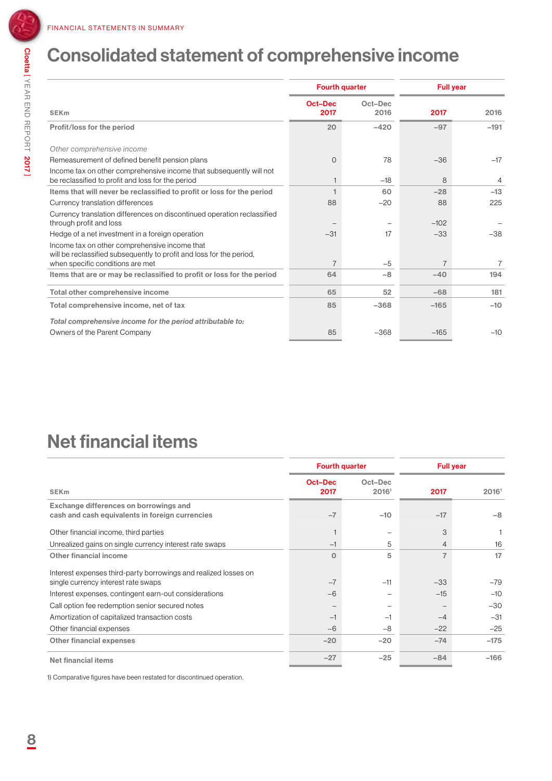### Consolidated statement of comprehensive income

|                                                                                                                          |                 | <b>Fourth quarter</b> | <b>Full year</b> |                |
|--------------------------------------------------------------------------------------------------------------------------|-----------------|-----------------------|------------------|----------------|
| <b>SEK<sub>m</sub></b>                                                                                                   | Oct-Dec<br>2017 | Oct-Dec<br>2016       | 2017             | 2016           |
| Profit/loss for the period                                                                                               | 20              | $-420$                | $-97$            | $-191$         |
| Other comprehensive income                                                                                               |                 |                       |                  |                |
| Remeasurement of defined benefit pension plans                                                                           | $\Omega$        | 78                    | $-36$            | $-17$          |
| Income tax on other comprehensive income that subsequently will not<br>be reclassified to profit and loss for the period |                 | $-18$                 | 8                | $\overline{4}$ |
| Items that will never be reclassified to profit or loss for the period                                                   |                 | 60                    | $-28$            | $-13$          |
| Currency translation differences                                                                                         | 88              | $-20$                 | 88               | 225            |
| Currency translation differences on discontinued operation reclassified<br>through profit and loss                       |                 |                       | $-102$           |                |
| Hedge of a net investment in a foreign operation                                                                         | $-31$           | 17                    | $-33$            | $-38$          |
| Income tax on other comprehensive income that<br>will be reclassified subsequently to profit and loss for the period,    |                 |                       |                  |                |
| when specific conditions are met                                                                                         | $\overline{7}$  | $-5$                  | $\overline{7}$   | $\overline{7}$ |
| Items that are or may be reclassified to profit or loss for the period                                                   | 64              | $-8$                  | $-40$            | 194            |
| Total other comprehensive income                                                                                         | 65              | 52                    | $-68$            | 181            |
| Total comprehensive income, net of tax                                                                                   | 85              | $-368$                | $-165$           | $-10$          |
| Total comprehensive income for the period attributable to:                                                               |                 |                       |                  |                |
| Owners of the Parent Company                                                                                             | 85              | $-368$                | $-165$           | $-10$          |

### Net financial items

|                                                                 | <b>Fourth quarter</b> |                          |                | <b>Full year</b> |  |
|-----------------------------------------------------------------|-----------------------|--------------------------|----------------|------------------|--|
| <b>SEK<sub>m</sub></b>                                          | Oct-Dec<br>2017       | Oct-Dec<br>20161         | 2017           | 20161            |  |
| Exchange differences on borrowings and                          |                       |                          |                |                  |  |
| cash and cash equivalents in foreign currencies                 | $-7$                  | $-10$                    | $-17$          | $-8$             |  |
| Other financial income, third parties                           |                       | $\overline{\phantom{0}}$ | 3              |                  |  |
| Unrealized gains on single currency interest rate swaps         | $-1$                  | 5                        | 4              | 16               |  |
| Other financial income                                          | $\Omega$              | 5                        | $\overline{7}$ | 17               |  |
| Interest expenses third-party borrowings and realized losses on |                       |                          |                |                  |  |
| single currency interest rate swaps                             | $-7$                  | $-11$                    | $-33$          | $-79$            |  |
| Interest expenses, contingent earn-out considerations           | $-6$                  |                          | $-15$          | $-10$            |  |
| Call option fee redemption senior secured notes                 |                       |                          |                | $-30$            |  |
| Amortization of capitalized transaction costs                   | $-1$                  | $-1$                     | $-4$           | $-31$            |  |
| Other financial expenses                                        | $-6$                  | $-8$                     | $-22$          | $-25$            |  |
| Other financial expenses                                        | $-20$                 | $-20$                    | $-74$          | $-175$           |  |
| Net financial items                                             | $-27$                 | $-25$                    | $-84$          | $-166$           |  |

1) Comparative figures have been restated for discontinued operation.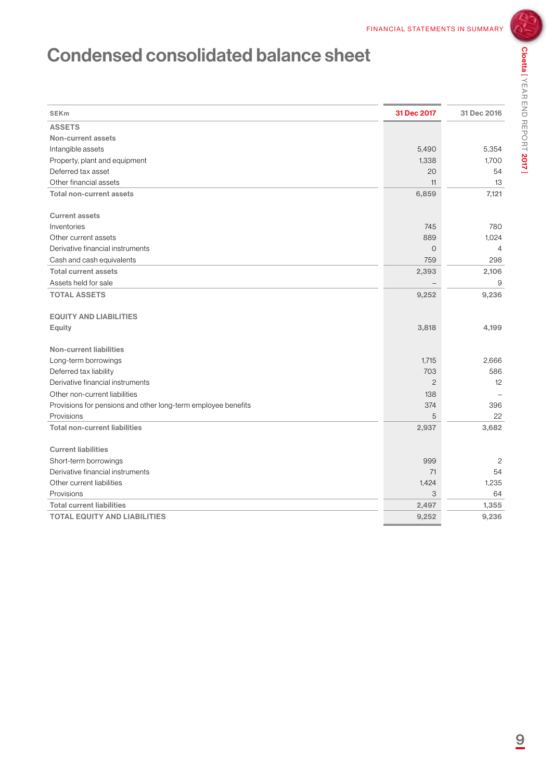### Condensed consolidated balance sheet

| <b>SEKm</b>                                                   | 31 Dec 2017    | 31 Dec 2016    |
|---------------------------------------------------------------|----------------|----------------|
| <b>ASSETS</b>                                                 |                |                |
| <b>Non-current assets</b>                                     |                |                |
| Intangible assets                                             | 5,490          | 5,354          |
| Property, plant and equipment                                 | 1,338          | 1,700          |
| Deferred tax asset                                            | 20             | 54             |
| Other financial assets                                        | 11             | 13             |
| <b>Total non-current assets</b>                               | 6,859          | 7,121          |
| <b>Current assets</b>                                         |                |                |
| Inventories                                                   | 745            | 780            |
| Other current assets                                          | 889            | 1.024          |
| Derivative financial instruments                              | $\circ$        | $\overline{4}$ |
| Cash and cash equivalents                                     | 759            | 298            |
| <b>Total current assets</b>                                   | 2,393          | 2,106          |
| Assets held for sale                                          |                | 9              |
| <b>TOTAL ASSETS</b>                                           | 9,252          | 9,236          |
| <b>EQUITY AND LIABILITIES</b>                                 |                |                |
| <b>Equity</b>                                                 | 3,818          | 4,199          |
| <b>Non-current liabilities</b>                                |                |                |
| Long-term borrowings                                          | 1,715          | 2.666          |
| Deferred tax liability                                        | 703            | 586            |
| Derivative financial instruments                              | $\overline{c}$ | 12             |
| Other non-current liabilities                                 | 138            |                |
| Provisions for pensions and other long-term employee benefits | 374            | 396            |
| Provisions                                                    | 5              | 22             |
| <b>Total non-current liabilities</b>                          | 2,937          | 3,682          |
| <b>Current liabilities</b>                                    |                |                |
| Short-term borrowings                                         | 999            | 2              |
| Derivative financial instruments                              | 71             | 54             |
| Other current liabilities                                     | 1,424          | 1,235          |
| Provisions                                                    | 3              | 64             |
| <b>Total current liabilities</b>                              | 2,497          | 1,355          |
| <b>TOTAL EQUITY AND LIABILITIES</b>                           | 9,252          | 9.236          |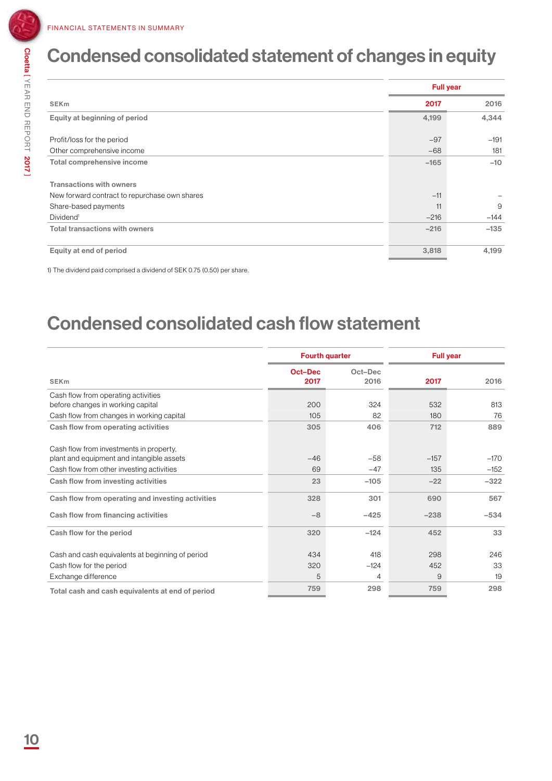2017 ]

### Condensed consolidated statement of changes in equity

|                                                                                  |        | <b>Full year</b> |
|----------------------------------------------------------------------------------|--------|------------------|
| <b>SEKm</b>                                                                      | 2017   | 2016             |
| Equity at beginning of period                                                    | 4,199  | 4,344            |
| Profit/loss for the period                                                       | $-97$  | $-191$           |
| Other comprehensive income                                                       | $-68$  | 181              |
| Total comprehensive income                                                       | $-165$ | $-10$            |
| <b>Transactions with owners</b><br>New forward contract to repurchase own shares | $-11$  |                  |
| Share-based payments                                                             | 11     | 9                |
| Dividend <sup>1</sup>                                                            | $-216$ | $-144$           |
| <b>Total transactions with owners</b>                                            | $-216$ | $-135$           |
| Equity at end of period                                                          | 3,818  | 4,199            |

1) The dividend paid comprised a dividend of SEK 0.75 (0.50) per share.

### Condensed consolidated cash flow statement

|                 | <b>Fourth quarter</b> |        | <b>Full year</b> |  |
|-----------------|-----------------------|--------|------------------|--|
| Oct-Dec<br>2017 | Oct-Dec<br>2016       | 2017   | 2016             |  |
|                 |                       |        |                  |  |
|                 |                       |        | 813              |  |
| 105             | 82                    | 180    | 76               |  |
| 305             | 406                   | 712    | 889              |  |
|                 |                       |        |                  |  |
| $-46$           | $-58$                 | $-157$ | $-170$           |  |
| 69              | $-47$                 | 135    | $-152$           |  |
| 23              | $-105$                | $-22$  | $-322$           |  |
| 328             | 301                   | 690    | 567              |  |
| $-8$            | $-425$                | $-238$ | $-534$           |  |
| 320             | $-124$                | 452    | 33               |  |
| 434             | 418                   | 298    | 246              |  |
| 320             | $-124$                | 452    | 33               |  |
| 5               | 4                     | 9      | 19               |  |
| 759             | 298                   | 759    | 298              |  |
|                 | 200                   | 324    | 532              |  |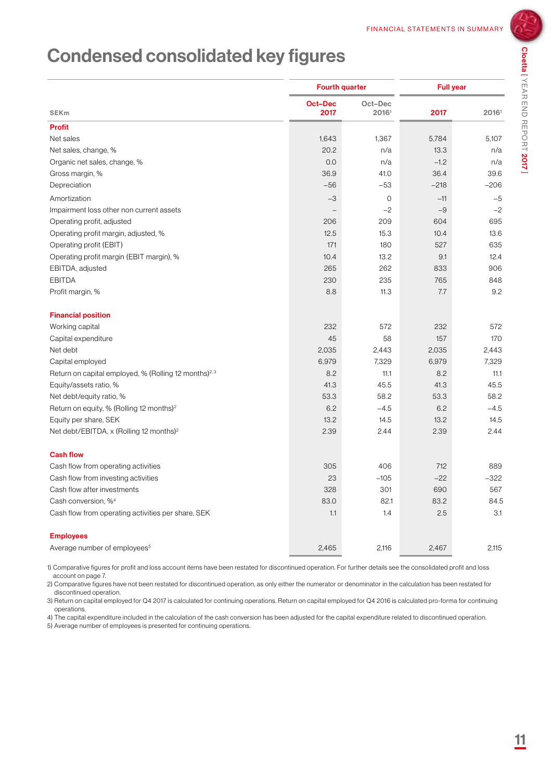Cloetta [

YEAR END REPORT

2017 ]

### Condensed consolidated key figures

|                                                                   | <b>Fourth quarter</b>  |                  | <b>Full year</b> |        |
|-------------------------------------------------------------------|------------------------|------------------|------------------|--------|
| <b>SEKm</b>                                                       | <b>Oct-Dec</b><br>2017 | Oct-Dec<br>20161 | 2017             | 20161  |
| <b>Profit</b>                                                     |                        |                  |                  |        |
| Net sales                                                         | 1,643                  | 1,367            | 5,784            | 5,107  |
| Net sales, change, %                                              | 20.2                   | n/a              | 13.3             | n/a    |
| Organic net sales, change, %                                      | 0.0                    | n/a              | $-1.2$           | n/a    |
| Gross margin, %                                                   | 36.9                   | 41.0             | 36.4             | 39.6   |
| Depreciation                                                      | $-56$                  | $-53$            | $-218$           | $-206$ |
| Amortization                                                      | $-3$                   | $\mathbf 0$      | $-11$            | $-5$   |
| Impairment loss other non current assets                          |                        | $-2$             | $-9$             | $-2$   |
| Operating profit, adjusted                                        | 206                    | 209              | 604              | 695    |
| Operating profit margin, adjusted, %                              | 12.5                   | 15.3             | 10.4             | 13.6   |
| Operating profit (EBIT)                                           | 171                    | 180              | 527              | 635    |
| Operating profit margin (EBIT margin), %                          | 10.4                   | 13.2             | 9.1              | 12.4   |
| EBITDA, adjusted                                                  | 265                    | 262              | 833              | 906    |
| <b>EBITDA</b>                                                     | 230                    | 235              | 765              | 848    |
| Profit margin, %                                                  | 8.8                    | 11.3             | 7.7              | 9.2    |
| <b>Financial position</b>                                         |                        |                  |                  |        |
| Working capital                                                   | 232                    | 572              | 232              | 572    |
| Capital expenditure                                               | 45                     | 58               | 157              | 170    |
| Net debt                                                          | 2,035                  | 2,443            | 2,035            | 2,443  |
| Capital employed                                                  | 6,979                  | 7,329            | 6,979            | 7,329  |
| Return on capital employed, % (Rolling 12 months) <sup>2, 3</sup> | 8.2                    | 11.1             | 8.2              | 11.1   |
| Equity/assets ratio, %                                            | 41.3                   | 45.5             | 41.3             | 45.5   |
| Net debt/equity ratio, %                                          | 53.3                   | 58.2             | 53.3             | 58.2   |
| Return on equity, % (Rolling 12 months) <sup>2</sup>              | 6.2                    | $-4.5$           | 6.2              | $-4.5$ |
| Equity per share, SEK                                             | 13.2                   | 14.5             | 13.2             | 14.5   |
| Net debt/EBITDA, x (Rolling 12 months) <sup>2</sup>               | 2.39                   | 2.44             | 2.39             | 2.44   |
| <b>Cash flow</b>                                                  |                        |                  |                  |        |
| Cash flow from operating activities                               | 305                    | 406              | 712              | 889    |
| Cash flow from investing activities                               | 23                     | $-105$           | $-22$            | $-322$ |
| Cash flow after investments                                       | 328                    | 301              | 690              | 567    |
| Cash conversion. % <sup>4</sup>                                   | 83.0                   | 82.1             | 83.2             | 84.5   |
| Cash flow from operating activities per share, SEK                | 1.1                    | 1.4              | 2.5              | 3.1    |
| <b>Employees</b>                                                  |                        |                  |                  |        |
| Average number of employees <sup>5</sup>                          | 2,465                  | 2,116            | 2,467            | 2,115  |

1) Comparative figures for profit and loss account items have been restated for discontinued operation. For further details see the consolidated profit and loss account on page 7.

2) Comparative figures have not been restated for discontinued operation, as only either the numerator or denominator in the calculation has been restated for discontinued operation.

3) Return on capital employed for Q4 2017 is calculated for continuing operations. Return on capital employed for Q4 2016 is calculated pro-forma for continuing operations.

4) The capital expenditure included in the calculation of the cash conversion has been adjusted for the capital expenditure related to discontinued operation.

5) Average number of employees is presented for continuing operations.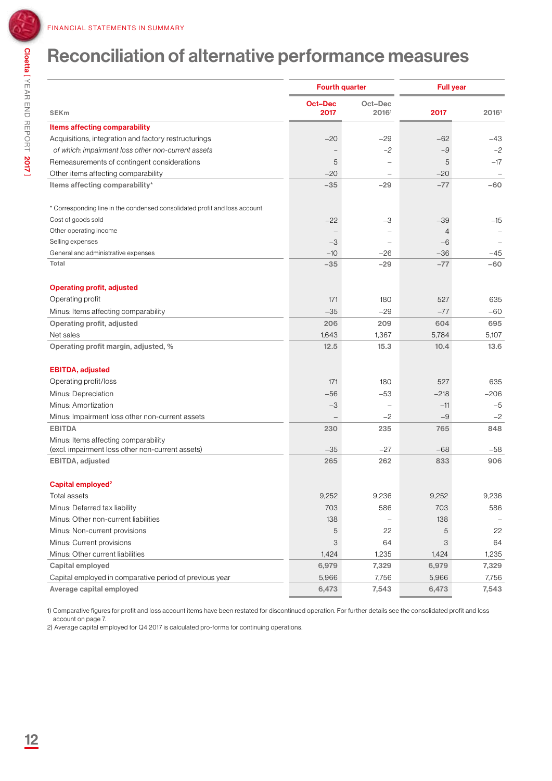### Reconciliation of alternative performance measures

|                                                                             | <b>Fourth quarter</b> |         | <b>Full year</b> |        |
|-----------------------------------------------------------------------------|-----------------------|---------|------------------|--------|
|                                                                             | <b>Oct-Dec</b>        | Oct-Dec |                  |        |
| <b>SEKm</b>                                                                 | 2017                  | 20161   | 2017             | 20161  |
| <b>Items affecting comparability</b>                                        |                       |         |                  |        |
| Acquisitions, integration and factory restructurings                        | $-20$                 | $-29$   | $-62$            | $-43$  |
| of which: impairment loss other non-current assets                          |                       | $-2$    | -9               | $-2$   |
| Remeasurements of contingent considerations                                 | 5                     |         | 5                | $-17$  |
| Other items affecting comparability                                         | $-20$                 |         | $-20$            |        |
| Items affecting comparability*                                              | $-35$                 | $-29$   | $-77$            | -60    |
| * Corresponding line in the condensed consolidated profit and loss account: |                       |         |                  |        |
| Cost of goods sold                                                          | $-22$                 | $-3$    | $-39$            | $-15$  |
| Other operating income                                                      |                       |         | 4                |        |
| Selling expenses                                                            | $-3$                  |         | $-6$             |        |
| General and administrative expenses                                         | $-10$                 | -26     | $-36$            | $-45$  |
| Total                                                                       | $-35$                 | $-29$   | $-77$            | $-60$  |
| <b>Operating profit, adjusted</b>                                           |                       |         |                  |        |
| Operating profit                                                            | 171                   | 180     | 527              | 635    |
| Minus: Items affecting comparability                                        | $-35$                 | $-29$   | $-77$            | $-60$  |
| Operating profit, adjusted                                                  | 206                   | 209     | 604              | 695    |
| Net sales                                                                   | 1,643                 | 1,367   | 5,784            | 5,107  |
| Operating profit margin, adjusted, %                                        | 12.5                  | 15.3    | 10.4             | 13.6   |
| <b>EBITDA, adjusted</b>                                                     |                       |         |                  |        |
| Operating profit/loss                                                       | 171                   | 180     | 527              | 635    |
| Minus: Depreciation                                                         | $-56$                 | $-53$   | $-218$           | $-206$ |
| Minus: Amortization                                                         | $-3$                  |         | $-11$            | $-5$   |
| Minus: Impairment loss other non-current assets                             |                       | $-2$    | $-9$             | $-2$   |
| <b>EBITDA</b>                                                               | 230                   | 235     | 765              | 848    |
| Minus: Items affecting comparability                                        |                       |         |                  |        |
| (excl. impairment loss other non-current assets)                            | $-35$                 | $-27$   | $-68$            | $-58$  |
| EBITDA, adjusted                                                            | 265                   | 262     | 833              | 906    |
| Capital employed <sup>2</sup>                                               |                       |         |                  |        |
| Total assets                                                                | 9,252                 | 9,236   | 9,252            | 9,236  |
| Minus: Deferred tax liability                                               | 703                   | 586     | 703              | 586    |
| Minus: Other non-current liabilities                                        | 138                   |         | 138              |        |
| Minus: Non-current provisions                                               | 5                     | 22      | 5                | 22     |
| Minus: Current provisions                                                   | 3                     | 64      | 3                | 64     |
| Minus: Other current liabilities                                            | 1,424                 | 1,235   | 1,424            | 1,235  |
| Capital employed                                                            | 6,979                 | 7,329   | 6,979            | 7,329  |
| Capital employed in comparative period of previous year                     | 5,966                 | 7,756   | 5,966            | 7,756  |
| Average capital employed                                                    | 6,473                 | 7,543   | 6,473            | 7,543  |

1) Comparative figures for profit and loss account items have been restated for discontinued operation. For further details see the consolidated profit and loss account on page 7.

2) Average capital employed for Q4 2017 is calculated pro-forma for continuing operations.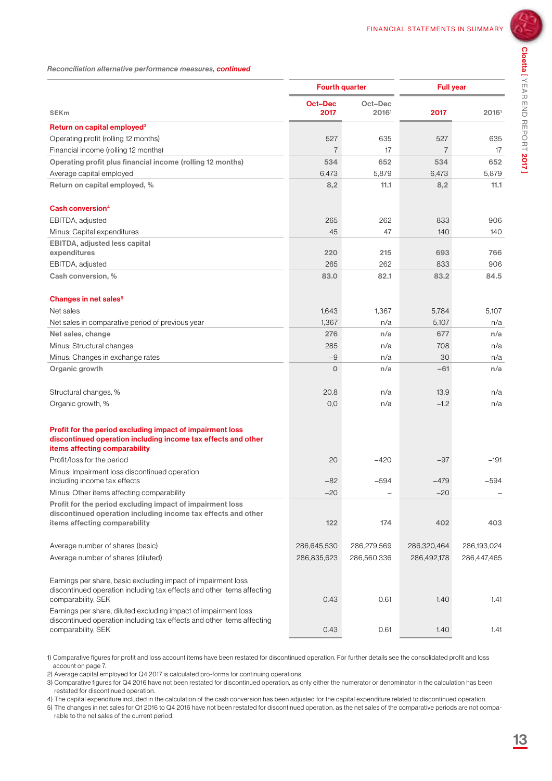*Reconciliation alternative performance measures, continued*

|                                                                                                                                                                 | <b>Fourth quarter</b>  |                  | <b>Full year</b> |             |
|-----------------------------------------------------------------------------------------------------------------------------------------------------------------|------------------------|------------------|------------------|-------------|
| <b>SEK<sub>m</sub></b>                                                                                                                                          | <b>Oct-Dec</b><br>2017 | Oct-Dec<br>20161 | 2017             | 20161       |
| Return on capital employed <sup>3</sup>                                                                                                                         |                        |                  |                  |             |
| Operating profit (rolling 12 months)                                                                                                                            | 527                    | 635              | 527              | 635         |
| Financial income (rolling 12 months)                                                                                                                            | $\overline{7}$         | 17               | $\overline{7}$   | 17          |
| Operating profit plus financial income (rolling 12 months)                                                                                                      | 534                    | 652              | 534              | 652         |
| Average capital employed                                                                                                                                        | 6,473                  | 5,879            | 6,473            | 5,879       |
| Return on capital employed, %                                                                                                                                   | 8,2                    | 11.1             | 8,2              | 11.1        |
| Cash conversion <sup>4</sup>                                                                                                                                    |                        |                  |                  |             |
| EBITDA, adjusted                                                                                                                                                | 265                    | 262              | 833              | 906         |
| Minus: Capital expenditures                                                                                                                                     | 45                     | 47               | 140              | 140         |
| <b>EBITDA, adjusted less capital</b>                                                                                                                            |                        |                  |                  |             |
| expenditures                                                                                                                                                    | 220                    | 215              | 693              | 766         |
| EBITDA, adjusted                                                                                                                                                | 265                    | 262              | 833              | 906         |
| Cash conversion, %                                                                                                                                              | 83.0                   | 82.1             | 83.2             | 84.5        |
| Changes in net sales <sup>5</sup>                                                                                                                               |                        |                  |                  |             |
| Net sales                                                                                                                                                       | 1,643                  | 1.367            | 5,784            | 5,107       |
| Net sales in comparative period of previous year                                                                                                                | 1,367                  | n/a              | 5,107            | n/a         |
| Net sales, change                                                                                                                                               | 276                    | n/a              | 677              | n/a         |
| Minus: Structural changes                                                                                                                                       | 285                    | n/a              | 708              | n/a         |
| Minus: Changes in exchange rates                                                                                                                                | $-9$                   | n/a              | 30               | n/a         |
| Organic growth                                                                                                                                                  | $\mathbf 0$            | n/a              | -61              | n/a         |
| Structural changes, %                                                                                                                                           | 20.8                   | n/a              | 13.9             | n/a         |
| Organic growth, %                                                                                                                                               | 0,0                    | n/a              | $-1.2$           | n/a         |
| Profit for the period excluding impact of impairment loss<br>discontinued operation including income tax effects and other<br>items affecting comparability     |                        |                  |                  |             |
| Profit/loss for the period                                                                                                                                      | 20                     | $-420$           | $-97$            | $-191$      |
| Minus: Impairment loss discontinued operation<br>including income tax effects                                                                                   | $-82$                  | $-594$           | $-479$           | $-594$      |
| Minus: Other items affecting comparability                                                                                                                      | $-20$                  |                  | $-20$            |             |
| Profit for the period excluding impact of impairment loss<br>discontinued operation including income tax effects and other<br>items affecting comparability     | 122                    | 174              | 402              | 403         |
| Average number of shares (basic)                                                                                                                                | 286,645,530            | 286,279,569      | 286,320,464      | 286,193,024 |
| Average number of shares (diluted)                                                                                                                              | 286,835,623            | 286,560,336      | 286,492,178      | 286,447,465 |
| Earnings per share, basic excluding impact of impairment loss<br>discontinued operation including tax effects and other items affecting<br>comparability, SEK   | 0.43                   | 0.61             | 1.40             | 1.41        |
| Earnings per share, diluted excluding impact of impairment loss<br>discontinued operation including tax effects and other items affecting<br>comparability, SEK | 0.43                   | 0.61             | 1.40             | 1.41        |

1) Comparative figures for profit and loss account items have been restated for discontinued operation. For further details see the consolidated profit and loss account on page 7.

2) Average capital employed for Q4 2017 is calculated pro-forma for continuing operations.

3) Comparative figures for Q4 2016 have not been restated for discontinued operation, as only either the numerator or denominator in the calculation has been restated for discontinued operation.

4) The capital expenditure included in the calculation of the cash conversion has been adjusted for the capital expenditure related to discontinued operation.

5) The changes in net sales for Q1 2016 to Q4 2016 have not been restated for discontinued operation, as the net sales of the comparative periods are not comparable to the net sales of the current period.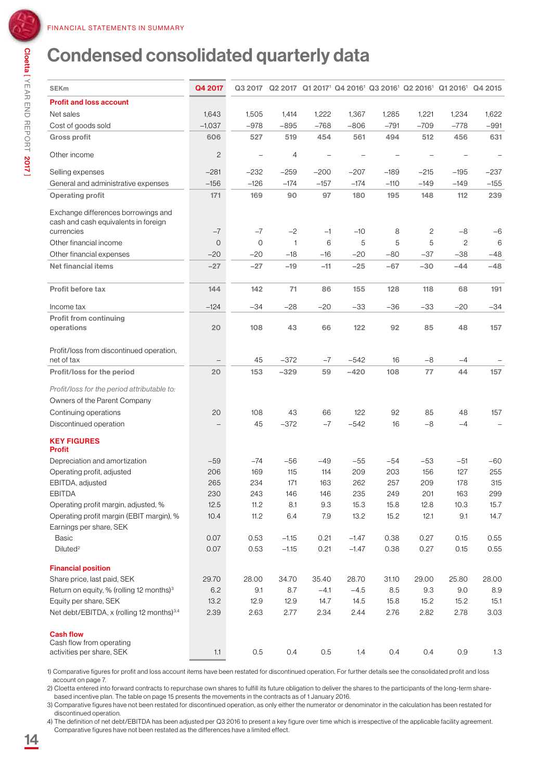YEAR END REPORT

### Condensed consolidated quarterly data

| <b>SEKm</b>                                                                               | Q4 2017        |         |              |        |         |        | Q3 2017 Q2 2017 Q1 2017 <sup>1</sup> Q4 2016 <sup>1</sup> Q3 2016 <sup>1</sup> Q2 2016 <sup>1</sup> Q1 2016 <sup>1</sup> Q4 2015 |                |        |
|-------------------------------------------------------------------------------------------|----------------|---------|--------------|--------|---------|--------|----------------------------------------------------------------------------------------------------------------------------------|----------------|--------|
| <b>Profit and loss account</b>                                                            |                |         |              |        |         |        |                                                                                                                                  |                |        |
| Net sales                                                                                 | 1,643          | 1,505   | 1,414        | 1,222  | 1,367   | 1,285  | 1,221                                                                                                                            | 1,234          | 1,622  |
| Cost of goods sold                                                                        | $-1,037$       | $-978$  | $-895$       | $-768$ | $-806$  | $-791$ | $-709$                                                                                                                           | $-778$         | $-991$ |
| <b>Gross profit</b>                                                                       | 606            | 527     | 519          | 454    | 561     | 494    | 512                                                                                                                              | 456            | 631    |
| Other income                                                                              | $\mathbf{2}$   |         | 4            |        |         |        |                                                                                                                                  |                |        |
| Selling expenses                                                                          | $-281$         | $-232$  | $-259$       | $-200$ | $-207$  | $-189$ | $-215$                                                                                                                           | $-195$         | $-237$ |
| General and administrative expenses                                                       | $-156$         | $-126$  | $-174$       | $-157$ | $-174$  | $-110$ | $-149$                                                                                                                           | $-149$         | $-155$ |
| <b>Operating profit</b>                                                                   | 171            | 169     | 90           | 97     | 180     | 195    | 148                                                                                                                              | 112            | 239    |
| Exchange differences borrowings and<br>cash and cash equivalents in foreign<br>currencies | $-7$           | $-7$    | $-2$         | $-1$   | $-10$   | 8      | 2                                                                                                                                | -8             | $-6$   |
|                                                                                           |                |         |              |        |         |        |                                                                                                                                  |                |        |
| Other financial income                                                                    | $\overline{O}$ | $\circ$ | $\mathbf{1}$ | 6      | 5       | 5      | 5                                                                                                                                | $\overline{c}$ | 6      |
| Other financial expenses                                                                  | $-20$          | $-20$   | $-18$        | $-16$  | $-20$   | $-80$  | $-37$                                                                                                                            | $-38$          | $-48$  |
| <b>Net financial items</b>                                                                | $-27$          | $-27$   | $-19$        | $-11$  | $-25$   | $-67$  | $-30$                                                                                                                            | $-44$          | $-48$  |
| Profit before tax                                                                         | 144            | 142     | 71           | 86     | 155     | 128    | 118                                                                                                                              | 68             | 191    |
| Income tax                                                                                | $-124$         | $-34$   | $-28$        | $-20$  | $-33$   | $-36$  | -33                                                                                                                              | $-20$          | $-34$  |
| <b>Profit from continuing</b><br>operations                                               | 20             | 108     | 43           | 66     | 122     | 92     | 85                                                                                                                               | 48             | 157    |
| Profit/loss from discontinued operation,<br>net of tax                                    |                | 45      | $-372$       | $-7$   | $-542$  | 16     | $-8$                                                                                                                             | -4             |        |
| Profit/loss for the period                                                                | 20             | 153     | $-329$       | 59     | $-420$  | 108    | 77                                                                                                                               | 44             | 157    |
| Profit/loss for the period attributable to:<br>Owners of the Parent Company               |                |         |              |        |         |        |                                                                                                                                  |                |        |
| Continuing operations                                                                     | 20             | 108     | 43           | 66     | 122     | 92     | 85                                                                                                                               | 48             | 157    |
| Discontinued operation                                                                    |                | 45      | $-372$       | $-7$   | $-542$  | 16     | $-8$                                                                                                                             | $-4$           |        |
| <b>KEY FIGURES</b><br><b>Profit</b>                                                       |                |         |              |        |         |        |                                                                                                                                  |                |        |
| Depreciation and amortization                                                             | $-59$          | $-74$   | $-56$        | $-49$  | $-55$   | $-54$  | $-53$                                                                                                                            | $-51$          | $-60$  |
| Operating profit, adjusted                                                                | 206            | 169     | 115          | 114    | 209     | 203    | 156                                                                                                                              | 127            | 255    |
| EBITDA, adjusted                                                                          | 265            | 234     | 171          | 163    | 262     | 257    | 209                                                                                                                              | 178            | 315    |
| <b>EBITDA</b>                                                                             | 230            | 243     | 146          | 146    | 235     | 249    | 201                                                                                                                              | 163            | 299    |
| Operating profit margin, adjusted, %                                                      | 12.5           | 11.2    | 8.1          | 9.3    | 15.3    | 15.8   | 12.8                                                                                                                             | 10.3           | 15.7   |
| Operating profit margin (EBIT margin), %<br>Earnings per share, SEK                       | 10.4           | 11.2    | 6.4          | 7.9    | 13.2    | 15.2   | 12.1                                                                                                                             | 9.1            | 14.7   |
| <b>Basic</b>                                                                              | 0.07           | 0.53    | $-1.15$      | 0.21   | $-1.47$ | 0.38   | 0.27                                                                                                                             | 0.15           | 0.55   |
| Diluted <sup>2</sup>                                                                      |                |         |              |        |         |        |                                                                                                                                  | 0.15           | 0.55   |
|                                                                                           | 0.07           | 0.53    | $-1.15$      | 0.21   | $-1.47$ | 0.38   | 0.27                                                                                                                             |                |        |
| <b>Financial position</b>                                                                 |                |         |              |        |         |        |                                                                                                                                  |                |        |
| Share price, last paid, SEK                                                               | 29.70          | 28.00   | 34.70        | 35.40  | 28.70   | 31.10  | 29.00                                                                                                                            | 25.80          | 28.00  |
| Return on equity, % (rolling 12 months) <sup>3</sup>                                      | 6.2            | 9.1     | 8.7          | $-4.1$ | $-4.5$  | 8.5    | 9.3                                                                                                                              | 9.0            | 8.9    |
| Equity per share, SEK                                                                     | 13.2           | 12.9    | 12.9         | 14.7   | 14.5    | 15.8   | 15.2                                                                                                                             | 15.2           | 15.1   |
| Net debt/EBITDA, x (rolling 12 months) <sup>3,4</sup>                                     | 2.39           | 2.63    | 2.77         | 2.34   | 2.44    | 2.76   | 2.82                                                                                                                             | 2.78           | 3.03   |
| <b>Cash flow</b><br>Cash flow from operating<br>activities per share, SEK                 | 1.1            | 0.5     | 0.4          | 0.5    | 1.4     | 0.4    | 0.4                                                                                                                              | 0.9            | 1.3    |

1) Comparative figures for profit and loss account items have been restated for discontinued operation. For further details see the consolidated profit and loss account on page 7.

2) Cloetta entered into forward contracts to repurchase own shares to fulfill its future obligation to deliver the shares to the participants of the long-term sharebased incentive plan. The table on page 15 presents the movements in the contracts as of 1 January 2016.

3) Comparative figures have not been restated for discontinued operation, as only either the numerator or denominator in the calculation has been restated for discontinued operation.

4) The definition of net debt/EBITDA has been adjusted per Q3 2016 to present a key figure over time which is irrespective of the applicable facility agreement. Comparative figures have not been restated as the differences have a limited effect.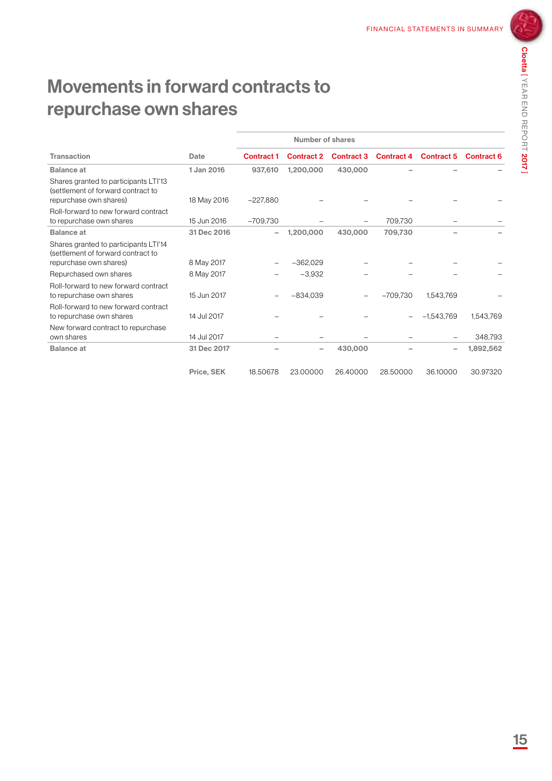### Movements in forward contracts to repurchase own shares

|                                                                                                       |             | Number of shares  |                   |                   |                   |                   |                   |
|-------------------------------------------------------------------------------------------------------|-------------|-------------------|-------------------|-------------------|-------------------|-------------------|-------------------|
| <b>Transaction</b>                                                                                    | Date        | <b>Contract 1</b> | <b>Contract 2</b> | <b>Contract 3</b> | <b>Contract 4</b> | <b>Contract 5</b> | <b>Contract 6</b> |
| <b>Balance at</b>                                                                                     | 1 Jan 2016  | 937,610           | 1,200,000         | 430,000           |                   |                   |                   |
| Shares granted to participants LTI'13<br>(settlement of forward contract to                           |             |                   |                   |                   |                   |                   |                   |
| repurchase own shares)                                                                                | 18 May 2016 | $-227.880$        |                   |                   |                   |                   |                   |
| Roll-forward to new forward contract<br>to repurchase own shares                                      | 15 Jun 2016 | $-709,730$        |                   |                   | 709,730           |                   |                   |
| <b>Balance</b> at                                                                                     | 31 Dec 2016 | -                 | 1,200,000         | 430,000           | 709.730           |                   |                   |
| Shares granted to participants LTI'14<br>(settlement of forward contract to<br>repurchase own shares) | 8 May 2017  |                   | $-362,029$        |                   |                   |                   |                   |
| Repurchased own shares                                                                                | 8 May 2017  |                   | $-3,932$          |                   |                   |                   |                   |
| Roll-forward to new forward contract<br>to repurchase own shares                                      | 15 Jun 2017 |                   | $-834,039$        |                   | $-709,730$        | 1,543,769         |                   |
| Roll-forward to new forward contract<br>to repurchase own shares                                      | 14 Jul 2017 |                   |                   |                   |                   | $-1,543,769$      | 1,543,769         |
| New forward contract to repurchase<br>own shares                                                      | 14 Jul 2017 |                   |                   |                   |                   |                   | 348,793           |
| <b>Balance</b> at                                                                                     | 31 Dec 2017 |                   |                   | 430,000           |                   | ۰                 | 1,892,562         |
|                                                                                                       | Price, SEK  | 18.50678          | 23.00000          | 26.40000          | 28.50000          | 36.10000          | 30.97320          |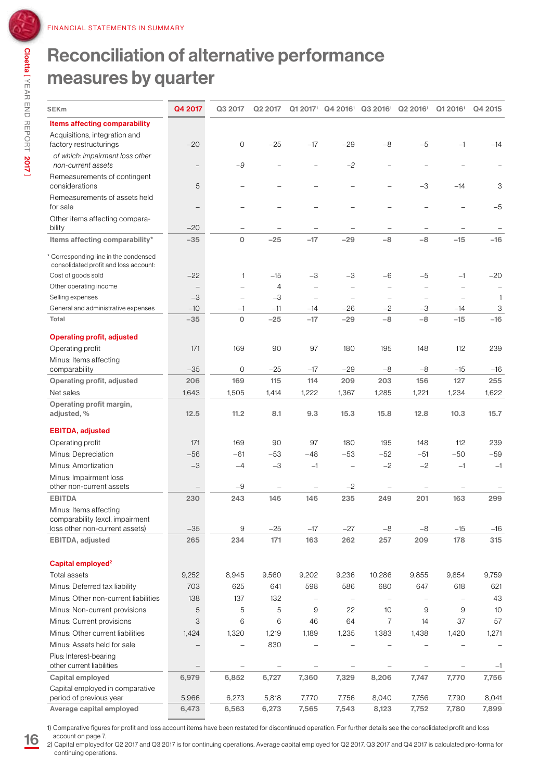### Reconciliation of alternative performance measures by quarter

| <b>SEKm</b>                                                                  | Q4 2017                  | Q3 2017  | Q2 2017           | Q1 2017 <sup>1</sup>     |                   | Q4 2016 <sup>1</sup> Q3 2016 <sup>1</sup> | Q2 2016 <sup>1</sup>     | Q1 2016 <sup>1</sup> | Q4 2015      |
|------------------------------------------------------------------------------|--------------------------|----------|-------------------|--------------------------|-------------------|-------------------------------------------|--------------------------|----------------------|--------------|
| Items affecting comparability                                                |                          |          |                   |                          |                   |                                           |                          |                      |              |
| Acquisitions, integration and<br>factory restructurings                      | $-20$                    | $\circ$  | $-25$             | $-17$                    | $-29$             | $-8$                                      | $-5$                     | $-1$                 | $-14$        |
| of which: impairment loss other<br>non-current assets                        |                          | $-9$     |                   |                          | $-2$              |                                           |                          |                      |              |
| Remeasurements of contingent<br>considerations                               | 5                        |          |                   |                          |                   |                                           | -3                       | $-14$                | 3            |
| Remeasurements of assets held<br>for sale                                    | $\overline{\phantom{0}}$ |          |                   |                          |                   | $\overline{\phantom{0}}$                  | $\overline{\phantom{0}}$ |                      | $-5$         |
| Other items affecting compara-<br>bility                                     | $-20$                    | -        |                   |                          |                   | $\qquad \qquad -$                         | $\qquad \qquad -$        |                      |              |
| Items affecting comparability*                                               | $-35$                    | $\circ$  | $-25$             | $-17$                    | $-29$             | $-8$                                      | $-8$                     | $-15$                | $-16$        |
| Corresponding line in the condensed<br>consolidated profit and loss account: |                          |          |                   |                          |                   |                                           |                          |                      |              |
| Cost of goods sold                                                           | $-22$                    | 1        | $-15$             | $-3$                     | $-3$              | $-6$                                      | $-5$                     | $-1$                 | $-20$        |
| Other operating income                                                       |                          |          | $\overline{4}$    | $\qquad \qquad -$        |                   | $\qquad \qquad -$                         | $\qquad \qquad$          |                      | -            |
| Selling expenses                                                             | $-3$                     |          | $-3$              |                          |                   |                                           |                          |                      | $\mathbf{1}$ |
| General and administrative expenses                                          | $-10$                    | $-1$     | $-11$             | $-14$                    | $-26$             | $-2$                                      | $-3$                     | $-14$                | 3            |
| Total                                                                        | $-35$                    | $\Omega$ | $-25$             | $-17$                    | $-29$             | $-8$                                      | $-8$                     | $-15$                | $-16$        |
| <b>Operating profit, adjusted</b>                                            |                          |          |                   |                          |                   |                                           |                          |                      |              |
| Operating profit                                                             | 171                      | 169      | 90                | 97                       | 180               | 195                                       | 148                      | 112                  | 239          |
| Minus: Items affecting                                                       |                          |          |                   |                          |                   |                                           |                          |                      |              |
| comparability                                                                | $-35$                    | $\circ$  | $-25$             | $-17$                    | $-29$             | $-8$                                      | $-8$                     | $-15$                | $-16$        |
| Operating profit, adjusted                                                   | 206                      | 169      | 115               | 114                      | 209               | 203                                       | 156                      | 127                  | 255          |
| Net sales                                                                    | 1,643                    | 1,505    | 1,414             | 1,222                    | 1,367             | 1,285                                     | 1,221                    | 1,234                | 1,622        |
| Operating profit margin,<br>adjusted, %                                      | 12.5                     | 11.2     | 8.1               | 9.3                      | 15.3              | 15.8                                      | 12.8                     | 10.3                 | 15.7         |
| <b>EBITDA, adjusted</b>                                                      |                          |          |                   |                          |                   |                                           |                          |                      |              |
| Operating profit                                                             | 171                      | 169      | 90                | 97                       | 180               | 195                                       | 148                      | 112                  | 239          |
| Minus: Depreciation                                                          | $-56$                    | $-61$    | -53               | -48                      | -53               | $-52$                                     | $-51$                    | $-50$                | $-59$        |
| Minus: Amortization                                                          | $-3$                     | $-4$     | $-3$              | $-1$                     |                   | $-2$                                      | $-2$                     | $-1$                 | $-1$         |
| Minus: Impairment loss                                                       |                          |          |                   |                          |                   |                                           |                          |                      |              |
| other non-current assets                                                     |                          | $-9$     | $\qquad \qquad -$ | $\overline{\phantom{0}}$ | $-2$              | $\qquad \qquad -$                         |                          |                      |              |
| <b>EBITDA</b>                                                                | 230                      | 243      | 146               | 146                      | 235               | 249                                       | 201                      | 163                  | 299          |
| Minus: Items affecting                                                       |                          |          |                   |                          |                   |                                           |                          |                      |              |
| comparability (excl. impairment                                              | $-35$                    | 9        | $-25$             | $-17$                    | $-27$             |                                           |                          | $-15$                | $-16$        |
| loss other non-current assets)<br>EBITDA, adjusted                           | 265                      | 234      | 171               | 163                      | 262               | $-8$<br>257                               | $-8$<br>209              | 178                  | 315          |
|                                                                              |                          |          |                   |                          |                   |                                           |                          |                      |              |
| Capital employed <sup>2</sup>                                                |                          |          |                   |                          |                   |                                           |                          |                      |              |
| Total assets                                                                 | 9,252                    | 8,945    | 9,560             | 9,202                    | 9,236             | 10,286                                    | 9,855                    | 9,854                | 9,759        |
| Minus: Deferred tax liability                                                | 703                      | 625      | 641               | 598                      | 586               | 680                                       | 647                      | 618                  | 621          |
| Minus: Other non-current liabilities                                         | 138                      | 137      | 132               |                          |                   |                                           |                          |                      | 43           |
| Minus: Non-current provisions                                                | 5                        | 5        | 5                 | 9                        | 22                | 10                                        | 9                        | 9                    | 10           |
| Minus: Current provisions                                                    | З                        | 6        | 6                 | 46                       | 64                | 7                                         | 14                       | 37                   | 57           |
| Minus: Other current liabilities                                             | 1,424                    | 1,320    | 1,219             | 1,189                    | 1,235             | 1,383                                     | 1,438                    | 1,420                | 1,271        |
| Minus: Assets held for sale                                                  |                          |          | 830               |                          |                   |                                           |                          |                      |              |
| Plus: Interest-bearing                                                       |                          |          |                   |                          |                   |                                           |                          |                      |              |
| other current liabilities                                                    | $\qquad \qquad -$        |          | -                 | -                        | $\qquad \qquad -$ | -                                         | -                        | -                    | $-1$         |
| Capital employed                                                             | 6,979                    | 6,852    | 6,727             | 7,360                    | 7,329             | 8,206                                     | 7,747                    | 7,770                | 7,756        |
| Capital employed in comparative                                              |                          |          |                   |                          |                   |                                           |                          |                      |              |
| period of previous year                                                      | 5,966                    | 6,273    | 5,818             | 7,770                    | 7,756             | 8,040                                     | 7,756                    | 7,790                | 8,041        |
| Average capital employed                                                     | 6,473                    | 6,563    | 6,273             | 7,565                    | 7,543             | 8,123                                     | 7,752                    | 7,780                | 7,899        |

2) Capital employed for Q2 2017 and Q3 2017 is for continuing operations. Average capital employed for Q2 2017, Q3 2017 and Q4 2017 is calculated pro-forma for continuing operations.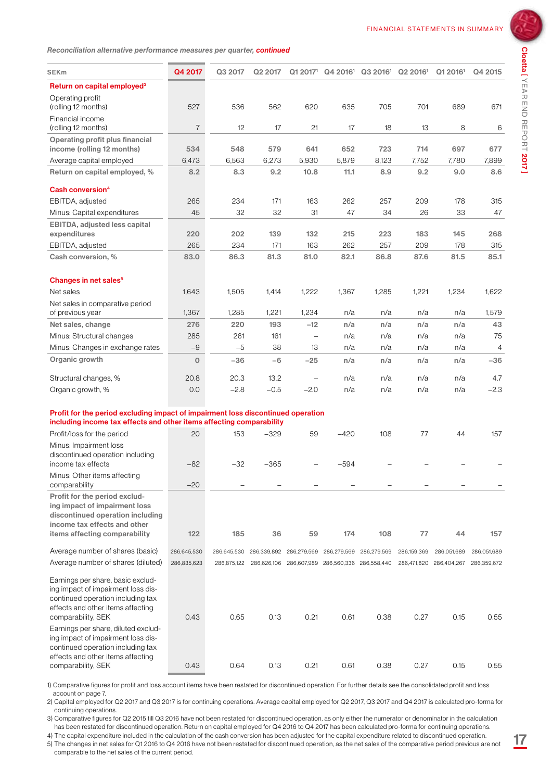

| SEKm                                                                                                                                                                    | Q4 2017        | Q3 2017     | Q2 2017     |                          |                                                             | $Q1 2017$ <sup>1</sup> $Q4 2016$ <sup>1</sup> $Q3 2016$ <sup>1</sup> $Q2 2016$ <sup>1</sup> |             | Q12016 <sup>1</sup>                 | Q4 2015     |
|-------------------------------------------------------------------------------------------------------------------------------------------------------------------------|----------------|-------------|-------------|--------------------------|-------------------------------------------------------------|---------------------------------------------------------------------------------------------|-------------|-------------------------------------|-------------|
| Return on capital employed <sup>3</sup>                                                                                                                                 |                |             |             |                          |                                                             |                                                                                             |             |                                     |             |
| Operating profit                                                                                                                                                        |                |             |             |                          |                                                             |                                                                                             |             |                                     |             |
| (rolling 12 months)                                                                                                                                                     | 527            | 536         | 562         | 620                      | 635                                                         | 705                                                                                         | 701         | 689                                 | 671         |
| Financial income<br>(rolling 12 months)                                                                                                                                 | $\overline{7}$ | 12          | 17          | 21                       | 17                                                          | 18                                                                                          | 13          | 8                                   | 6           |
| Operating profit plus financial                                                                                                                                         |                |             |             |                          |                                                             |                                                                                             |             |                                     |             |
| income (rolling 12 months)                                                                                                                                              | 534            | 548         | 579         | 641                      | 652                                                         | 723                                                                                         | 714         | 697                                 | 677         |
| Average capital employed                                                                                                                                                | 6,473          | 6,563       | 6,273       | 5,930                    | 5,879                                                       | 8,123                                                                                       | 7,752       | 7,780                               | 7,899       |
| Return on capital employed, %                                                                                                                                           | 8.2            | 8.3         | 9.2         | 10.8                     | 11.1                                                        | 8.9                                                                                         | 9.2         | 9.0                                 | 8.6         |
| Cash conversion <sup>4</sup>                                                                                                                                            |                |             |             |                          |                                                             |                                                                                             |             |                                     |             |
| EBITDA, adjusted                                                                                                                                                        | 265            | 234         | 171         | 163                      | 262                                                         | 257                                                                                         | 209         | 178                                 | 315         |
| Minus: Capital expenditures                                                                                                                                             | 45             | 32          | 32          | 31                       | 47                                                          | 34                                                                                          | 26          | 33                                  | 47          |
| <b>EBITDA, adjusted less capital</b>                                                                                                                                    |                |             |             |                          |                                                             |                                                                                             |             |                                     |             |
| expenditures                                                                                                                                                            | 220            | 202         | 139         | 132                      | 215                                                         | 223                                                                                         | 183         | 145                                 | 268         |
| EBITDA, adjusted                                                                                                                                                        | 265            | 234         | 171         | 163                      | 262                                                         | 257                                                                                         | 209         | 178                                 | 315         |
| Cash conversion, %                                                                                                                                                      | 83.0           | 86.3        | 81.3        | 81.0                     | 82.1                                                        | 86.8                                                                                        | 87.6        | 81.5                                | 85.1        |
| Changes in net sales <sup>5</sup>                                                                                                                                       |                |             |             |                          |                                                             |                                                                                             |             |                                     |             |
| Net sales                                                                                                                                                               | 1,643          | 1,505       | 1,414       | 1,222                    | 1,367                                                       | 1,285                                                                                       | 1,221       | 1,234                               | 1,622       |
| Net sales in comparative period                                                                                                                                         |                |             |             |                          |                                                             |                                                                                             |             |                                     |             |
| of previous year                                                                                                                                                        | 1,367          | 1,285       | 1,221       | 1,234                    | n/a                                                         | n/a                                                                                         | n/a         | n/a                                 | 1,579       |
| Net sales, change                                                                                                                                                       | 276            | 220         | 193         | $-12$                    | n/a                                                         | n/a                                                                                         | n/a         | n/a                                 | 43          |
| Minus: Structural changes                                                                                                                                               | 285            | 261         | 161         | $\overline{\phantom{0}}$ | n/a                                                         | n/a                                                                                         | n/a         | n/a                                 | 75          |
| Minus: Changes in exchange rates                                                                                                                                        | $-9$           | $-5$        | 38          | 13                       | n/a                                                         | n/a                                                                                         | n/a         | n/a                                 | 4           |
| Organic growth                                                                                                                                                          | $\mathbf 0$    | $-36$       | $-6$        | $-25$                    | n/a                                                         | n/a                                                                                         | n/a         | n/a                                 | $-36$       |
| Structural changes, %                                                                                                                                                   | 20.8           | 20.3        | 13.2        | $\frac{1}{2}$            | n/a                                                         | n/a                                                                                         | n/a         | n/a                                 | 4.7         |
| Organic growth, %                                                                                                                                                       | 0.0            | $-2.8$      | $-0.5$      | $-2.0$                   | n/a                                                         | n/a                                                                                         | n/a         | n/a                                 | $-2.3$      |
|                                                                                                                                                                         |                |             |             |                          |                                                             |                                                                                             |             |                                     |             |
| Profit for the period excluding impact of impairment loss discontinued operation<br>including income tax effects and other items affecting comparability                |                |             |             |                          |                                                             |                                                                                             |             |                                     |             |
| Profit/loss for the period                                                                                                                                              | 20             | 153         | $-329$      | 59                       | $-420$                                                      | 108                                                                                         | 77          | 44                                  | 157         |
| Minus: Impairment loss<br>discontinued operation including                                                                                                              |                |             |             |                          |                                                             |                                                                                             |             |                                     |             |
| income tax effects                                                                                                                                                      | -82            | $-32$       | $-365$      |                          | -594                                                        |                                                                                             |             |                                     |             |
| Minus: Other items affecting<br>comparability                                                                                                                           | $-20$          |             |             |                          |                                                             |                                                                                             |             |                                     |             |
| Profit for the period exclud-<br>ing impact of impairment loss<br>discontinued operation including<br>income tax effects and other                                      |                |             |             |                          |                                                             |                                                                                             |             |                                     |             |
| items affecting comparability                                                                                                                                           | 122            | 185         | 36          | 59                       | 174                                                         | 108                                                                                         | 77          | 44                                  | 157         |
| Average number of shares (basic)                                                                                                                                        | 286,645,530    | 286,645,530 | 286,339,892 | 286,279,569              | 286,279,569                                                 | 286,279,569                                                                                 | 286,159,369 | 286,051,689                         | 286,051,689 |
| Average number of shares (diluted)                                                                                                                                      | 286,835,623    |             |             |                          | 286,875,122 286,626,106 286,607,989 286,560,336 286,558,440 |                                                                                             |             | 286,471,820 286,404,267 286,359,672 |             |
| Earnings per share, basic exclud-<br>ing impact of impairment loss dis-<br>continued operation including tax<br>effects and other items affecting<br>comparability, SEK | 0.43           | 0.65        | 0.13        | 0.21                     | 0.61                                                        | 0.38                                                                                        | 0.27        | 0.15                                | 0.55        |
| Earnings per share, diluted exclud-<br>ing impact of impairment loss dis-<br>continued operation including tax<br>effects and other items affecting                     |                |             |             |                          |                                                             |                                                                                             |             |                                     |             |
| comparability, SEK                                                                                                                                                      | 0.43           | 0.64        | 0.13        | 0.21                     | 0.61                                                        | 0.38                                                                                        | 0.27        | 0.15                                | 0.55        |

1) Comparative figures for profit and loss account items have been restated for discontinued operation. For further details see the consolidated profit and loss account on page 7.

2) Capital employed for Q2 2017 and Q3 2017 is for continuing operations. Average capital employed for Q2 2017, Q3 2017 and Q4 2017 is calculated pro-forma for continuing operations.

3) Comparative figures for Q2 2015 till Q3 2016 have not been restated for discontinued operation, as only either the numerator or denominator in the calculation has been restated for discontinued operation. Return on capital employed for Q4 2016 to Q4 2017 has been calculated pro-forma for continuing operations.

4) The capital expenditure included in the calculation of the cash conversion has been adjusted for the capital expenditure related to discontinued operation.

5) The changes in net sales for Q1 2016 to Q4 2016 have not been restated for discontinued operation, as the net sales of the comparative period previous are not comparable to the net sales of the current period.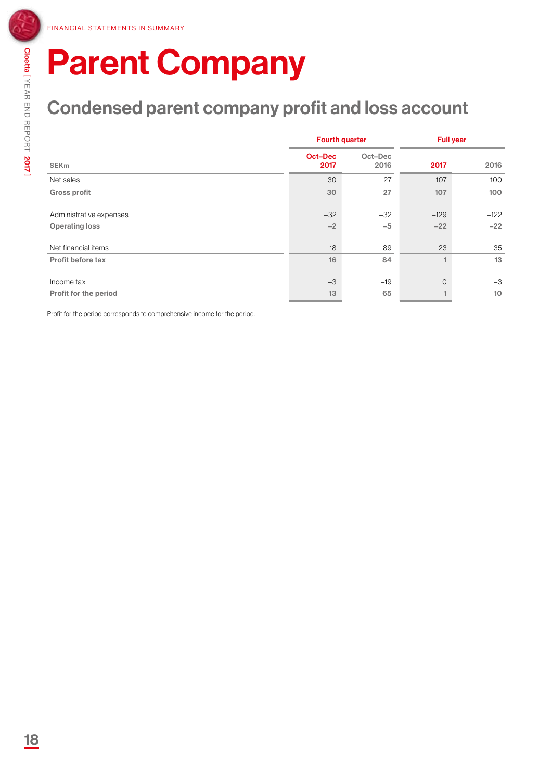### Condensed parent company profit and loss account

|                         |                        | <b>Fourth quarter</b> | <b>Full year</b> |        |  |  |
|-------------------------|------------------------|-----------------------|------------------|--------|--|--|
| <b>SEK<sub>m</sub></b>  | <b>Oct-Dec</b><br>2017 | Oct-Dec<br>2016       | 2017             | 2016   |  |  |
| Net sales               | 30                     | 27                    | 107              | 100    |  |  |
| <b>Gross profit</b>     | 30                     | 27                    | 107              | 100    |  |  |
| Administrative expenses | $-32$                  | $-32$                 | $-129$           | $-122$ |  |  |
| <b>Operating loss</b>   | $-2$                   | $-5$                  | $-22$            | $-22$  |  |  |
| Net financial items     | 18                     | 89                    | 23               | 35     |  |  |
| Profit before tax       | 16                     | 84                    | 1                | 13     |  |  |
| Income tax              | $-3$                   | $-19$                 | $\mathbf{O}$     | $-3$   |  |  |
| Profit for the period   | 13                     | 65                    | 1                | 10     |  |  |

Profit for the period corresponds to comprehensive income for the period.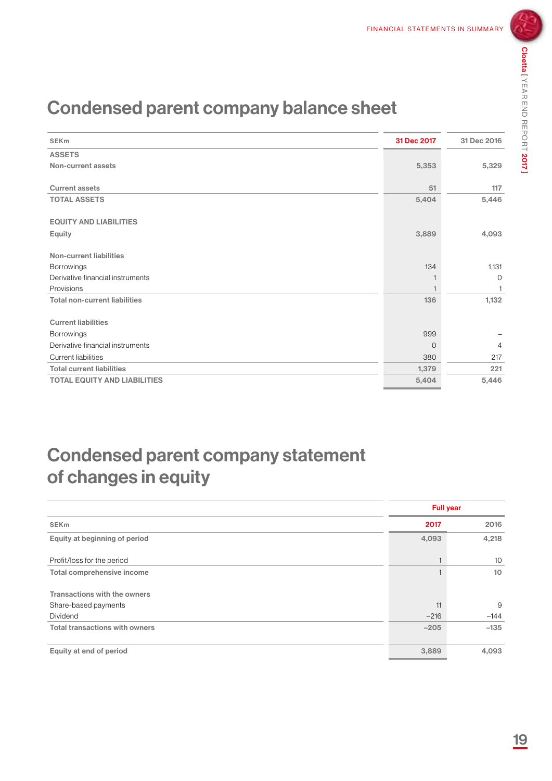### Condensed parent company balance sheet

| <b>SEKm</b>                          | 31 Dec 2017 | 31 Dec 2016    |
|--------------------------------------|-------------|----------------|
| <b>ASSETS</b>                        |             |                |
| Non-current assets                   | 5,353       | 5,329          |
|                                      |             |                |
| <b>Current assets</b>                | 51          | 117            |
| <b>TOTAL ASSETS</b>                  | 5,404       | 5,446          |
|                                      |             |                |
| <b>EQUITY AND LIABILITIES</b>        |             |                |
| Equity                               | 3,889       | 4,093          |
|                                      |             |                |
| Non-current liabilities              |             |                |
| <b>Borrowings</b>                    | 134         | 1,131          |
| Derivative financial instruments     |             | $\circ$        |
| Provisions                           |             | -1             |
| <b>Total non-current liabilities</b> | 136         | 1,132          |
|                                      |             |                |
| <b>Current liabilities</b>           |             |                |
| <b>Borrowings</b>                    | 999         |                |
| Derivative financial instruments     | 0           | $\overline{4}$ |
| <b>Current liabilities</b>           | 380         | 217            |
| <b>Total current liabilities</b>     | 1,379       | 221            |
| <b>TOTAL EQUITY AND LIABILITIES</b>  | 5,404       | 5,446          |
|                                      |             |                |

### Condensed parent company statement of changes in equity

|                                       |        | <b>Full year</b> |  |  |  |
|---------------------------------------|--------|------------------|--|--|--|
| <b>SEK<sub>m</sub></b>                | 2017   | 2016             |  |  |  |
| Equity at beginning of period         | 4,093  | 4,218            |  |  |  |
| Profit/loss for the period            | ٠      | 10               |  |  |  |
| Total comprehensive income            |        | 10               |  |  |  |
| Transactions with the owners          |        |                  |  |  |  |
| Share-based payments                  | 11     | 9                |  |  |  |
| <b>Dividend</b>                       | $-216$ | $-144$           |  |  |  |
| <b>Total transactions with owners</b> | $-205$ | $-135$           |  |  |  |
|                                       |        |                  |  |  |  |
| Equity at end of period               | 3,889  | 4,093            |  |  |  |
|                                       |        |                  |  |  |  |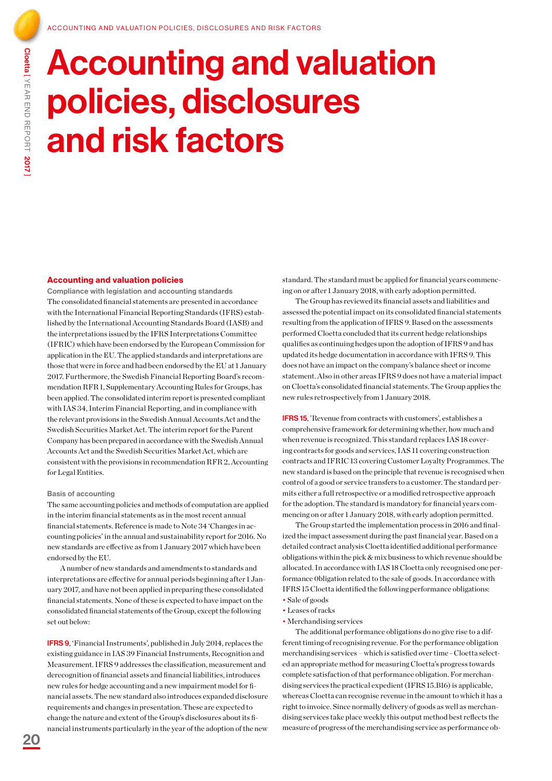## Accounting and valuation policies, disclosures and risk factors

#### Accounting and valuation policies

Compliance with legislation and accounting standards The consolidated financial statements are presented in accordance with the International Financial Reporting Standards (IFRS) established by the International Accounting Standards Board (IASB) and the interpretations issued by the IFRS Interpretations Committee (IFRIC) which have been endorsed by the European Commission for application in the EU. The applied standards and interpretations are those that were in force and had been endorsed by the EU at 1 January 2017. Furthermore, the Swedish Financial Reporting Board's recommendation RFR 1, Supplementary Accounting Rules for Groups, has been applied. The consolidated interim report is presented compliant with IAS 34, Interim Financial Reporting, and in compliance with the relevant provisions in the Swedish Annual Accounts Act and the Swedish Securities Market Act. The interim report for the Parent Company has been prepared in accordance with the Swedish Annual Accounts Act and the Swedish Securities Market Act, which are consistent with the provisions in recommendation RFR 2, Accounting for Legal Entities.

#### Basis of accounting

The same accounting policies and methods of computation are applied in the interim financial statements as in the most recent annual financial statements. Reference is made to Note 34 'Changes in accounting policies' in the annual and sustainability report for 2016. No new standards are effective as from 1 January 2017 which have been endorsed by the EU.

A number of new standards and amendments to standards and interpretations are effective for annual periods beginning after 1 January 2017, and have not been applied in preparing these consolidated financial statements. None of these is expected to have impact on the consolidated financial statements of the Group, except the following set out below:

IFRS 9, 'Financial Instruments', published in July 2014, replaces the existing guidance in IAS 39 Financial Instruments, Recognition and Measurement. IFRS 9 addresses the classification, measurement and derecognition of financial assets and financial liabilities, introduces new rules for hedge accounting and a new impairment model for financial assets. The new standard also introduces expanded disclosure requirements and changes in presentation. These are expected to change the nature and extent of the Group's disclosures about its financial instruments particularly in the year of the adoption of the new

standard. The standard must be applied for financial years commencing on or after 1 January 2018, with early adoption permitted.

The Group has reviewed its financial assets and liabilities and assessed the potential impact on its consolidated financial statements resulting from the application of IFRS 9. Based on the assessments performed Cloetta concluded that its current hedge relationships qualifies as continuing hedges upon the adoption of IFRS 9 and has updated its hedge documentation in accordance with IFRS 9. This does not have an impact on the company's balance sheet or income statement. Also in other areas IFRS 9 does not have a material impact on Cloetta's consolidated financial statements. The Group applies the new rules retrospectively from 1 January 2018.

IFRS 15, 'Revenue from contracts with customers', establishes a comprehensive framework for determining whether, how much and when revenue is recognized. This standard replaces IAS 18 covering contracts for goods and services, IAS 11 covering construction contracts and IFRIC 13 covering Customer Loyalty Programmes. The new standard is based on the principle that revenue is recognised when control of a good or service transfers to a customer. The standard permits either a full retrospective or a modified retrospective approach for the adoption. The standard is mandatory for financial years commencing on or after 1 January 2018, with early adoption permitted.

The Group started the implementation process in 2016 and finalized the impact assessment during the past financial year. Based on a detailed contract analysis Cloetta identified additional performance obligations within the pick & mix business to which revenue should be allocated. In accordance with IAS 18 Cloetta only recognised one performance 0bligation related to the sale of goods. In accordance with IFRS 15 Cloetta identified the following performance obligations: • Sale of goods

- 
- Leases of racks
- Merchandising services

The additional performance obligations do no give rise to a different timing of recognising revenue. For the performance obligation merchandising services – which is satisfied over time - Cloetta selected an appropriate method for measuring Cloetta's progress towards complete satisfaction of that performance obligation. For merchandising services the practical expedient (IFRS 15.B16) is applicable, whereas Cloetta can recognise revenue in the amount to which it has a right to invoice. Since normally delivery of goods as well as merchandising services take place weekly this output method best reflects the measure of progress of the merchandising service as performance ob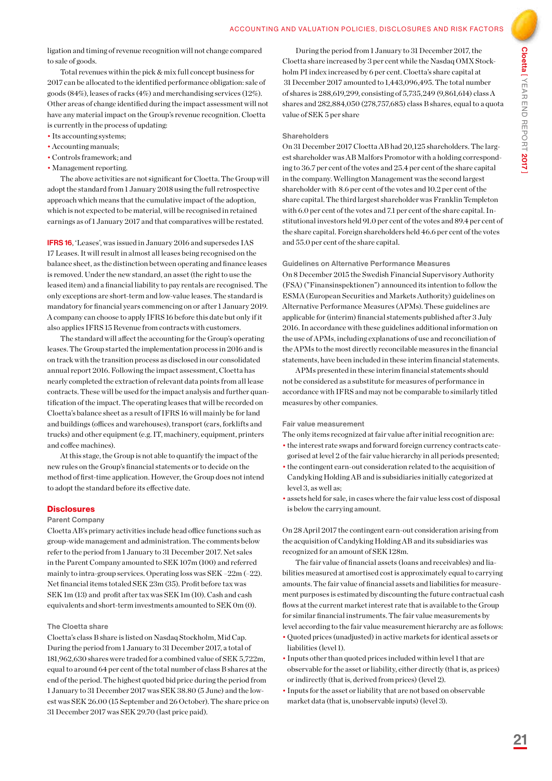ligation and timing of revenue recognition will not change compared to sale of goods.

Total revenues within the pick & mix full concept business for 2017 can be allocated to the identified performance obligation: sale of goods (84%), leases of racks (4%) and merchandising services (12%). Other areas of change identified during the impact assessment will not have any material impact on the Group's revenue recognition. Cloetta is currently in the process of updating:

- Its accounting systems;
- Accounting manuals;
- Controls framework; and
- Management reporting.

The above activities are not significant for Cloetta. The Group will adopt the standard from 1 January 2018 using the full retrospective approach which means that the cumulative impact of the adoption, which is not expected to be material, will be recognised in retained earnings as of 1 January 2017 and that comparatives will be restated.

IFRS 16, 'Leases', was issued in January 2016 and supersedes IAS 17 Leases. It will result in almost all leases being recognised on the balance sheet, as the distinction between operating and finance leases is removed. Under the new standard, an asset (the right to use the leased item) and a financial liability to pay rentals are recognised. The only exceptions are short-term and low-value leases. The standard is mandatory for financial years commencing on or after 1 January 2019. A company can choose to apply IFRS 16 before this date but only if it also applies IFRS 15 Revenue from contracts with customers.

The standard will affect the accounting for the Group's operating leases. The Group started the implementation process in 2016 and is on track with the transition process as disclosed in our consolidated annual report 2016. Following the impact assessment, Cloetta has nearly completed the extraction of relevant data points from all lease contracts. These will be used for the impact analysis and further quantification of the impact. The operating leases that will be recorded on Cloetta's balance sheet as a result of IFRS 16 will mainly be for land and buildings (offices and warehouses), transport (cars, forklifts and trucks) and other equipment (e.g. IT, machinery, equipment, printers and coffee machines).

At this stage, the Group is not able to quantify the impact of the new rules on the Group's financial statements or to decide on the method of first-time application. However, the Group does not intend to adopt the standard before its effective date.

### **Disclosures**

#### Parent Company

Cloetta AB's primary activities include head office functions such as group-wide management and administration. The comments below refer to the period from 1 January to 31 December 2017. Net sales in the Parent Company amounted to SEK 107m (100) and referred mainly to intra-group services. Operating loss was SEK –22m (–22). Net financial items totaled SEK 23m (35). Profit before tax was SEK 1m (13) and profit after tax was SEK 1m (10). Cash and cash equivalents and short-term investments amounted to SEK 0m (0).

#### The Cloetta share

Cloetta's class B share is listed on Nasdaq Stockholm, Mid Cap. During the period from 1 January to 31 December 2017, a total of 181,962,630 shares were traded for a combined value of SEK 5,722m, equal to around 64 per cent of the total number of class B shares at the end of the period. The highest quoted bid price during the period from 1 January to 31 December 2017 was SEK 38.80 (5 June) and the lowest was SEK 26.00 (15 September and 26 October). The share price on 31 December 2017 was SEK 29.70 (last price paid).

During the period from 1 January to 31 December 2017, the Cloetta share increased by 3 per cent while the Nasdaq OMX Stockholm PI index increased by 6 per cent. Cloetta's share capital at 31 December 2017 amounted to 1,443,096,495. The total number of shares is 288,619,299, consisting of 5,735,249 (9,861,614) class A shares and 282,884,050 (278,757,685) class B shares, equal to a quota value of SEK 5 per share

#### Shareholders

On 31 December 2017 Cloetta AB had 20,125 shareholders. The largest shareholder was AB Malfors Promotor with a holding corresponding to 36.7 per cent of the votes and 25.4 per cent of the share capital in the company. Wellington Management was the second largest shareholder with 8.6 per cent of the votes and 10.2 per cent of the share capital. The third largest shareholder was Franklin Templeton with 6.0 per cent of the votes and 7.1 per cent of the share capital. Institutional investors held 91.0 per cent of the votes and 89.4 per cent of the share capital. Foreign shareholders held 46.6 per cent of the votes and 55.0 per cent of the share capital.

#### Guidelines on Alternative Performance Measures

On 8 December 2015 the Swedish Financial Supervisory Authority (FSA) ("Finansinspektionen") announced its intention to follow the ESMA (European Securities and Markets Authority) guidelines on Alternative Performance Measures (APMs). These guidelines are applicable for (interim) financial statements published after 3 July 2016. In accordance with these guidelines additional information on the use of APMs, including explanations of use and reconciliation of the APMs to the most directly reconcilable measures in the financial statements, have been included in these interim financial statements.

APMs presented in these interim financial statements should not be considered as a substitute for measures of performance in accordance with IFRS and may not be comparable to similarly titled measures by other companies.

#### Fair value measurement

- The only items recognized at fair value after initial recognition are:
- the interest rate swaps and forward foreign currency contracts categorised at level 2 of the fair value hierarchy in all periods presented;
- the contingent earn-out consideration related to the acquisition of Candyking Holding AB and is subsidiaries initially categorized at level 3, as well as;
- assets held for sale, in cases where the fair value less cost of disposal is below the carrying amount.

On 28 April 2017 the contingent earn-out consideration arising from the acquisition of Candyking Holding AB and its subsidiaries was recognized for an amount of SEK 128m.

The fair value of financial assets (loans and receivables) and liabilities measured at amortised cost is approximately equal to carrying amounts. The fair value of financial assets and liabilities for measurement purposes is estimated by discounting the future contractual cash flows at the current market interest rate that is available to the Group for similar financial instruments. The fair value measurements by level according to the fair value measurement hierarchy are as follows: • Quoted prices (unadjusted) in active markets for identical assets or

- liabilities (level 1).
- Inputs other than quoted prices included within level 1 that are observable for the asset or liability, either directly (that is, as prices) or indirectly (that is, derived from prices) (level 2).
- Inputs for the asset or liability that are not based on observable market data (that is, unobservable inputs) (level 3).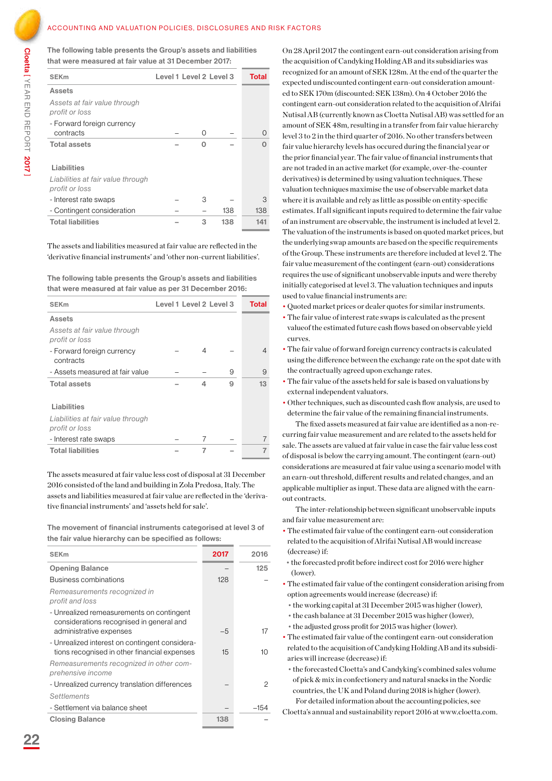Cloetta [ YEAR END REPORT 2017 ]

The following table presents the Group's assets and liabilities that were measured at fair value at 31 December 2017:

| <b>SEK<sub>m</sub></b>                              | Level 1 Level 2 Level 3 |     | <b>Total</b>     |
|-----------------------------------------------------|-------------------------|-----|------------------|
| Assets                                              |                         |     |                  |
| Assets at fair value through<br>profit or loss      |                         |     |                  |
| - Forward foreign currency                          |                         |     |                  |
| contracts                                           | Ω                       |     | $\left( \right)$ |
| <b>Total assets</b>                                 | n                       |     |                  |
| Liabilities                                         |                         |     |                  |
| Liabilities at fair value through<br>profit or loss |                         |     |                  |
| - Interest rate swaps                               | 3                       |     | 3                |
| - Contingent consideration                          |                         | 138 | 138              |
| <b>Total liabilities</b>                            | 3                       | 138 | 141              |

The assets and liabilities measured at fair value are reflected in the 'derivative financial instruments' and 'other non-current liabilities'.

The following table presents the Group's assets and liabilities that were measured at fair value as per 31 December 2016:

| <b>SEK<sub>m</sub></b>                              | Level 1 Level 2 Level 3 |   | Total |
|-----------------------------------------------------|-------------------------|---|-------|
| Assets                                              |                         |   |       |
| Assets at fair value through<br>profit or loss      |                         |   |       |
| - Forward foreign currency<br>contracts             | 4                       |   | 4     |
| - Assets measured at fair value                     |                         | 9 | 9     |
| <b>Total assets</b>                                 | 4                       | 9 | 13    |
| Liabilities                                         |                         |   |       |
| Liabilities at fair value through<br>profit or loss |                         |   |       |
| - Interest rate swaps                               | 7                       |   |       |
| <b>Total liabilities</b>                            | 7                       |   |       |

The assets measured at fair value less cost of disposal at 31 December 2016 consisted of the land and building in Zola Predosa, Italy. The assets and liabilities measured at fair value are reflected in the 'derivative financial instruments' and 'assets held for sale'.

The movement of financial instruments categorised at level 3 of the fair value hierarchy can be specified as follows:

| <b>SEK<sub>m</sub></b>                                                                                           | 2017 | 2016   |
|------------------------------------------------------------------------------------------------------------------|------|--------|
| <b>Opening Balance</b>                                                                                           |      | 125    |
| Business combinations                                                                                            | 128  |        |
| Remeasurements recognized in<br>profit and loss                                                                  |      |        |
| - Unrealized remeasurements on contingent<br>considerations recognised in general and<br>administrative expenses | $-5$ | 17     |
| - Unrealized interest on contingent considera-<br>tions recognised in other financial expenses                   | 15   | 10     |
| Remeasurements recognized in other com-<br>prehensive income                                                     |      |        |
| - Unrealized currency translation differences                                                                    |      | 2      |
| Settlements                                                                                                      |      |        |
| - Settlement via balance sheet                                                                                   |      | $-154$ |
| <b>Closing Balance</b>                                                                                           | 138  |        |

On 28 April 2017 the contingent earn-out consideration arising from the acquisition of Candyking Holding AB and its subsidiaries was recognized for an amount of SEK 128m. At the end of the quarter the expected undiscounted contingent earn-out consideration amounted to SEK 170m (discounted: SEK 138m). On 4 October 2016 the contingent earn-out consideration related to the acquisition of Alrifai Nutisal AB (currently known as Cloetta Nutisal AB) was settled for an amount of SEK 48m, resulting in a transfer from fair value hierarchy level 3 to 2 in the third quarter of 2016. No other transfers between fair value hierarchy levels has occured during the financial year or the prior financial year. The fair value of financial instruments that are not traded in an active market (for example, over-the-counter derivatives) is determined by using valuation techniques. These valuation techniques maximise the use of observable market data where it is available and rely as little as possible on entity-specific estimates. If all significant inputs required to determine the fair value of an instrument are observable, the instrument is included at level 2. The valuation of the instruments is based on quoted market prices, but the underlying swap amounts are based on the specific requirements of the Group. These instruments are therefore included at level 2. The fair value measurement of the contingent (earn-out) considerations requires the use of significant unobservable inputs and were thereby initially categorised at level 3. The valuation techniques and inputs used to value financial instruments are:

- Quoted market prices or dealer quotes for similar instruments.
- The fair value of interest rate swaps is calculated as the present valueof the estimated future cash flows based on observable yield curves.
- The fair value of forward foreign currency contracts is calculated using the difference between the exchange rate on the spot date with the contractually agreed upon exchange rates.
- The fair value of the assets held for sale is based on valuations by external independent valuators.
- Other techniques, such as discounted cash flow analysis, are used to determine the fair value of the remaining financial instruments.

The fixed assets measured at fair value are identified as a non-recurring fair value measurement and are related to the assets held for sale. The assets are valued at fair value in case the fair value less cost of disposal is below the carrying amount. The contingent (earn-out) considerations are measured at fair value using a scenario model with an earn-out threshold, different results and related changes, and an applicable multiplier as input. These data are aligned with the earnout contracts.

The inter-relationship between significant unobservable inputs and fair value measurement are:

- The estimated fair value of the contingent earn-out consideration related to the acquisition of Alrifai Nutisal AB would increase (decrease) if:
- the forecasted profit before indirect cost for 2016 were higher (lower).
- The estimated fair value of the contingent consideration arising from option agreements would increase (decrease) if:
- the working capital at 31 December 2015 was higher (lower),
- the cash balance at 31 December 2015 was higher (lower),
- the adjusted gross profit for 2015 was higher (lower).
- The estimated fair value of the contingent earn-out consideration related to the acquisition of Candyking Holding AB and its subsidiaries will increase (decrease) if:
- the forecasted Cloetta's and Candyking's combined sales volume of pick & mix in confectionery and natural snacks in the Nordic countries, the UK and Poland during 2018 is higher (lower). For detailed information about the accounting policies, see
- Cloetta's annual and sustainability report 2016 at www.cloetta.com.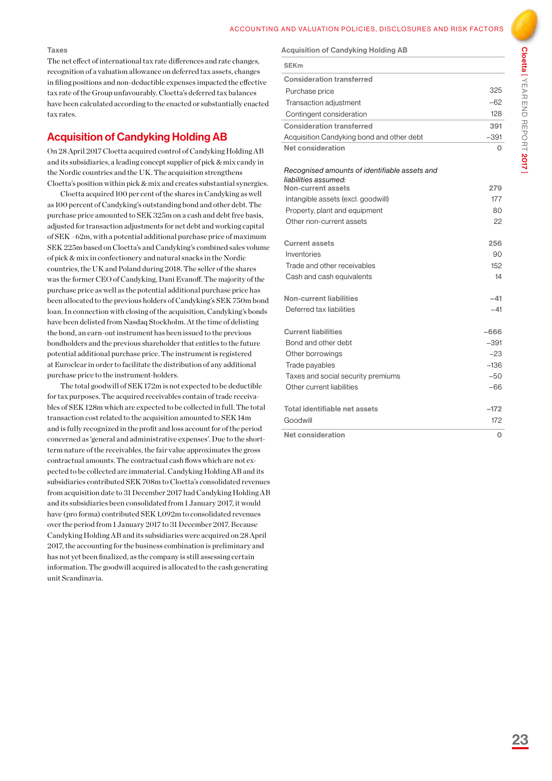#### Taxes

The net effect of international tax rate differences and rate changes, recognition of a valuation allowance on deferred tax assets, changes in filing positions and non-deductible expenses impacted the effective tax rate of the Group unfavourably. Cloetta's deferred tax balances have been calculated according to the enacted or substantially enacted tax rates.

### Acquisition of Candyking Holding AB

On 28 April 2017 Cloetta acquired control of Candyking Holding AB and its subsidiaries, a leading concept supplier of pick & mix candy in the Nordic countries and the UK. The acquisition strengthens Cloetta's position within pick & mix and creates substantial synergies.

Cloetta acquired 100 per cent of the shares in Candyking as well as 100 percent of Candyking's outstanding bond and other debt. The purchase price amounted to SEK 325m on a cash and debt free basis, adjusted for transaction adjustments for net debt and working capital of SEK –62m, with a potential additional purchase price of maximum SEK 225m based on Cloetta's and Candyking's combined sales volume of pick & mix in confectionery and natural snacks in the Nordic countries, the UK and Poland during 2018. The seller of the shares was the former CEO of Candyking, Dani Evanoff. The majority of the purchase price as well as the potential additional purchase price has been allocated to the previous holders of Candyking's SEK 750m bond loan. In connection with closing of the acquisition, Candyking's bonds have been delisted from Nasdaq Stockholm. At the time of delisting the bond, an earn-out instrument has been issued to the previous bondholders and the previous shareholder that entitles to the future potential additional purchase price. The instrument is registered at Euroclear in order to facilitate the distribution of any additional purchase price to the instrument-holders.

The total goodwill of SEK 172m is not expected to be deductible for tax purposes. The acquired receivables contain of trade receivables of SEK 128m which are expected to be collected in full. The total transaction cost related to the acquisition amounted to SEK 14m and is fully recognized in the profit and loss account for of the period concerned as 'general and administrative expenses'. Due to the shortterm nature of the receivables, the fair value approximates the gross contractual amounts. The contractual cash flows which are not expected to be collected are immaterial. Candyking Holding AB and its subsidiaries contributed SEK 708m to Cloetta's consolidated revenues from acquisition date to 31 December 2017 had Candyking Holding AB and its subsidiaries been consolidated from 1 January 2017, it would have (pro forma) contributed SEK 1,092m to consolidated revenues over the period from 1 January 2017 to 31 December 2017. Because Candyking Holding AB and its subsidiaries were acquired on 28 April 2017, the accounting for the business combination is preliminary and has not yet been finalized, as the company is still assessing certain information. The goodwill acquired is allocated to the cash generating unit Scandinavia.

#### Acquisition of Candyking Holding AB

| <b>SEK<sub>m</sub></b>                                                |        |
|-----------------------------------------------------------------------|--------|
| <b>Consideration transferred</b>                                      |        |
| Purchase price                                                        | 325    |
| Transaction adjustment                                                | $-62$  |
| Contingent consideration                                              | 128    |
| <b>Consideration transferred</b>                                      | 391    |
| Acquisition Candyking bond and other debt                             | $-391$ |
| Net consideration                                                     | 0      |
| Recognised amounts of identifiable assets and<br>liabilities assumed: |        |
| Non-current assets                                                    | 279    |
| Intangible assets (excl. goodwill)                                    | 177    |
| Property, plant and equipment                                         | 80     |
| Other non-current assets                                              | 22     |
| <b>Current assets</b>                                                 | 256    |
| Inventories                                                           | 90     |
| Trade and other receivables                                           | 152    |
| Cash and cash equivalents                                             | 14     |
| Non-current liabilities                                               | $-41$  |
| Deferred tax liabilities                                              | $-41$  |
| <b>Current liabilities</b>                                            | $-666$ |
| Bond and other debt                                                   | $-391$ |
| Other borrowings                                                      | $-23$  |
| Trade payables                                                        | $-136$ |
| Taxes and social security premiums                                    | $-50$  |
| Other current liabilities                                             | -66    |
| Total identifiable net assets                                         | $-172$ |
| Goodwill                                                              | 172    |
| <b>Net consideration</b>                                              | O      |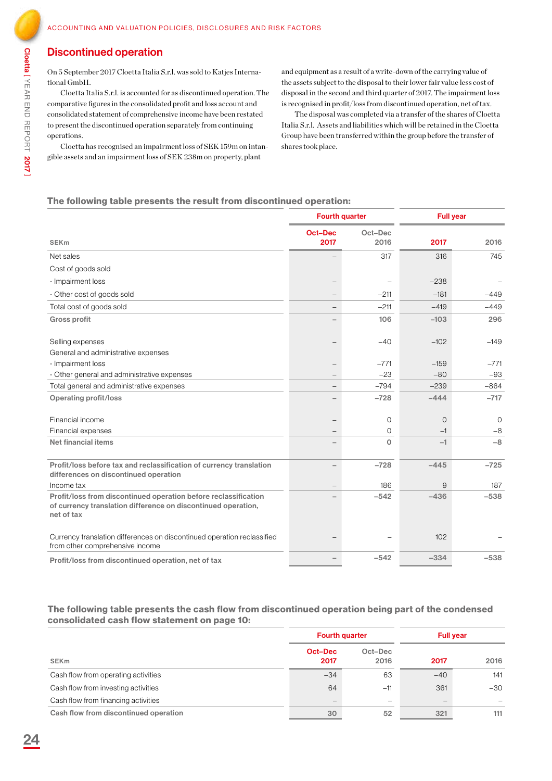### Discontinued operation

On 5 September 2017 Cloetta Italia S.r.l. was sold to Katjes International GmbH.

Cloetta Italia S.r.l. is accounted for as discontinued operation. The comparative figures in the consolidated profit and loss account and consolidated statement of comprehensive income have been restated to present the discontinued operation separately from continuing operations.

Cloetta has recognised an impairment loss of SEK 159m on intangible assets and an impairment loss of SEK 238m on property, plant

and equipment as a result of a write-down of the carrying value of the assets subject to the disposal to their lower fair value less cost of disposal in the second and third quarter of 2017. The impairment loss is recognised in profit/loss from discontinued operation, net of tax.

The disposal was completed via a transfer of the shares of Cloetta Italia S.r.l. Assets and liabilities which will be retained in the Cloetta Group have been transferred within the group before the transfer of shares took place.

### The following table presents the result from discontinued operation:

|                                                                                                                                                | <b>Fourth quarter</b>  |                 | <b>Full year</b> |          |  |
|------------------------------------------------------------------------------------------------------------------------------------------------|------------------------|-----------------|------------------|----------|--|
| <b>SEK<sub>m</sub></b>                                                                                                                         | <b>Oct-Dec</b><br>2017 | Oct-Dec<br>2016 | 2017             | 2016     |  |
| Net sales                                                                                                                                      |                        | 317             | 316              | 745      |  |
| Cost of goods sold                                                                                                                             |                        |                 |                  |          |  |
| - Impairment loss                                                                                                                              |                        |                 | $-238$           |          |  |
| - Other cost of goods sold                                                                                                                     |                        | $-211$          | $-181$           | $-449$   |  |
| Total cost of goods sold                                                                                                                       |                        | $-211$          | $-419$           | $-449$   |  |
| <b>Gross profit</b>                                                                                                                            |                        | 106             | $-103$           | 296      |  |
| Selling expenses                                                                                                                               |                        | $-40$           | $-102$           | $-149$   |  |
| General and administrative expenses                                                                                                            |                        |                 |                  |          |  |
| - Impairment loss                                                                                                                              |                        | $-771$          | $-159$           | $-771$   |  |
| - Other general and administrative expenses                                                                                                    |                        | $-23$           | $-80$            | $-93$    |  |
| Total general and administrative expenses                                                                                                      |                        | $-794$          | $-239$           | $-864$   |  |
| <b>Operating profit/loss</b>                                                                                                                   |                        | $-728$          | $-444$           | $-717$   |  |
| Financial income                                                                                                                               |                        | $\circ$         | $\overline{0}$   | $\Omega$ |  |
| Financial expenses                                                                                                                             |                        | $\circ$         | $-1$             | $-8$     |  |
| Net financial items                                                                                                                            |                        | $\Omega$        | $-1$             | $-8$     |  |
| Profit/loss before tax and reclassification of currency translation<br>differences on discontinued operation                                   |                        | $-728$          | $-445$           | $-725$   |  |
| Income tax                                                                                                                                     |                        | 186             | 9                | 187      |  |
| Profit/loss from discontinued operation before reclassification<br>of currency translation difference on discontinued operation,<br>net of tax |                        | $-542$          | $-436$           | $-538$   |  |
| Currency translation differences on discontinued operation reclassified<br>from other comprehensive income                                     |                        |                 | 102              |          |  |
| Profit/loss from discontinued operation, net of tax                                                                                            |                        | $-542$          | $-334$           | $-538$   |  |

### The following table presents the cash flow from discontinued operation being part of the condensed consolidated cash flow statement on page 10:

|                                       | <b>Fourth quarter</b> |                          | <b>Full year</b> |       |
|---------------------------------------|-----------------------|--------------------------|------------------|-------|
| <b>SEKm</b>                           | Oct-Dec<br>2017       | Oct-Dec<br>2016          | 2017             | 2016  |
| Cash flow from operating activities   | $-34$                 | 63                       | $-40$            | 141   |
| Cash flow from investing activities   | 64                    | $-11$                    | 361              | $-30$ |
| Cash flow from financing activities   |                       | $\overline{\phantom{m}}$ |                  |       |
| Cash flow from discontinued operation | 30                    | 52                       | 321              | 111   |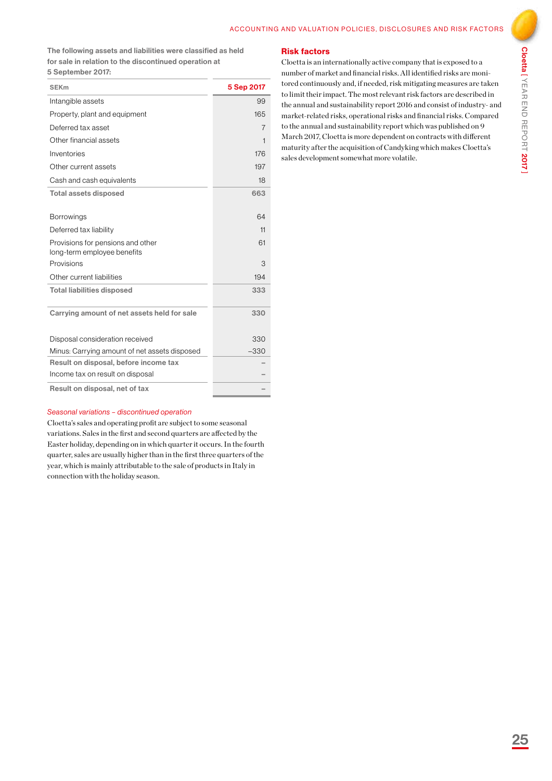The following assets and liabilities were classified as held for sale in relation to the discontinued operation at 5 September 2017:

| <b>SEK<sub>m</sub></b>                        | 5 Sep 2017     |
|-----------------------------------------------|----------------|
| Intangible assets                             | 99             |
| Property, plant and equipment                 | 165            |
| Deferred tax asset                            | $\overline{7}$ |
| Other financial assets                        | 1              |
| Inventories                                   | 176            |
| Other current assets                          | 197            |
| Cash and cash equivalents                     | 18             |
| <b>Total assets disposed</b>                  | 663            |
|                                               |                |
| <b>Borrowings</b>                             | 64             |
| Deferred tax liability                        | 11             |
| Provisions for pensions and other             | 61             |
| long-term employee benefits                   |                |
| Provisions                                    | 3              |
| Other current liabilities                     | 194            |
| <b>Total liabilities disposed</b>             | 333            |
|                                               |                |
| Carrying amount of net assets held for sale   | 330            |
|                                               |                |
| Disposal consideration received               | 330            |
| Minus: Carrying amount of net assets disposed | $-330$         |
| Result on disposal, before income tax         |                |
| Income tax on result on disposal              |                |
| Result on disposal, net of tax                |                |

### Risk factors

Cloetta is an internationally active company that is exposed to a number of market and financial risks. All identified risks are monitored continuously and, if needed, risk mitigating measures are taken to limit their impact. The most relevant risk factors are described in the annual and sustainability report 2016 and consist of industry- and market-related risks, operational risks and financial risks. Compared to the annual and sustainability report which was published on 9 March 2017, Cloetta is more dependent on contracts with different maturity after the acquisition of Candyking which makes Cloetta's sales development somewhat more volatile.

### *Seasonal variations – discontinued operation*

Cloetta's sales and operating profit are subject to some seasonal variations. Sales in the first and second quarters are affected by the Easter holiday, depending on in which quarter it occurs. In the fourth quarter, sales are usually higher than in the first three quarters of the year, which is mainly attributable to the sale of products in Italy in connection with the holiday season.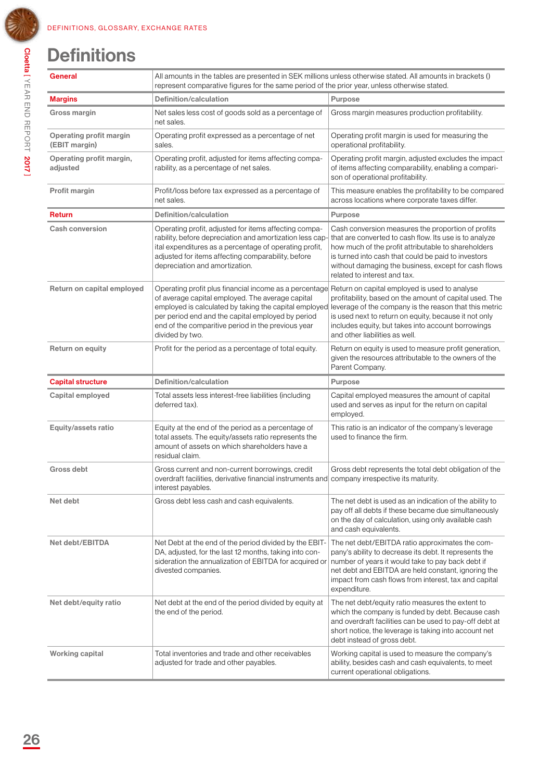## **Definitions**

| General                                         | All amounts in the tables are presented in SEK millions unless otherwise stated. All amounts in brackets ()<br>represent comparative figures for the same period of the prior year, unless otherwise stated.                                                                                      |                                                                                                                                                                                                                                                                                                                     |  |
|-------------------------------------------------|---------------------------------------------------------------------------------------------------------------------------------------------------------------------------------------------------------------------------------------------------------------------------------------------------|---------------------------------------------------------------------------------------------------------------------------------------------------------------------------------------------------------------------------------------------------------------------------------------------------------------------|--|
| Margins                                         | Definition/calculation                                                                                                                                                                                                                                                                            | Purpose                                                                                                                                                                                                                                                                                                             |  |
| Gross margin                                    | Net sales less cost of goods sold as a percentage of<br>net sales.                                                                                                                                                                                                                                | Gross margin measures production profitability.                                                                                                                                                                                                                                                                     |  |
| <b>Operating profit margin</b><br>(EBIT margin) | Operating profit expressed as a percentage of net<br>sales.                                                                                                                                                                                                                                       | Operating profit margin is used for measuring the<br>operational profitability.                                                                                                                                                                                                                                     |  |
| Operating profit margin,<br>adjusted            | Operating profit, adjusted for items affecting compa-<br>rability, as a percentage of net sales.                                                                                                                                                                                                  | Operating profit margin, adjusted excludes the impact<br>of items affecting comparability, enabling a compari-<br>son of operational profitability.                                                                                                                                                                 |  |
| Profit margin                                   | Profit/loss before tax expressed as a percentage of<br>net sales.                                                                                                                                                                                                                                 | This measure enables the profitability to be compared<br>across locations where corporate taxes differ.                                                                                                                                                                                                             |  |
| Return                                          | <b>Definition/calculation</b>                                                                                                                                                                                                                                                                     | <b>Purpose</b>                                                                                                                                                                                                                                                                                                      |  |
| <b>Cash conversion</b>                          | Operating profit, adjusted for items affecting compa-<br>rability, before depreciation and amortization less cap-<br>ital expenditures as a percentage of operating profit,<br>adjusted for items affecting comparability, before<br>depreciation and amortization.                               | Cash conversion measures the proportion of profits<br>that are converted to cash flow. Its use is to analyze<br>how much of the profit attributable to shareholders<br>is turned into cash that could be paid to investors<br>without damaging the business, except for cash flows<br>related to interest and tax.  |  |
| Return on capital employed                      | Operating profit plus financial income as a percentage<br>of average capital employed. The average capital<br>employed is calculated by taking the capital employed<br>per period end and the capital employed by period<br>end of the comparitive period in the previous year<br>divided by two. | Return on capital employed is used to analyse<br>profitability, based on the amount of capital used. The<br>leverage of the company is the reason that this metric<br>is used next to return on equity, because it not only<br>includes equity, but takes into account borrowings<br>and other liabilities as well. |  |
| <b>Return on equity</b>                         | Profit for the period as a percentage of total equity.                                                                                                                                                                                                                                            | Return on equity is used to measure profit generation,<br>given the resources attributable to the owners of the<br>Parent Company.                                                                                                                                                                                  |  |
| <b>Capital structure</b>                        | <b>Definition/calculation</b>                                                                                                                                                                                                                                                                     | <b>Purpose</b>                                                                                                                                                                                                                                                                                                      |  |
| Capital employed                                | Total assets less interest-free liabilities (including<br>deferred tax).                                                                                                                                                                                                                          | Capital employed measures the amount of capital<br>used and serves as input for the return on capital<br>employed.                                                                                                                                                                                                  |  |
| Equity/assets ratio                             | Equity at the end of the period as a percentage of<br>total assets. The equity/assets ratio represents the<br>amount of assets on which shareholders have a<br>residual claim.                                                                                                                    | This ratio is an indicator of the company's leverage<br>used to finance the firm.                                                                                                                                                                                                                                   |  |
| Gross debt                                      | Gross current and non-current borrowings, credit<br>overdraft facilities, derivative financial instruments and company irrespective its maturity.<br>interest payables.                                                                                                                           | Gross debt represents the total debt obligation of the                                                                                                                                                                                                                                                              |  |
| Net debt                                        | Gross debt less cash and cash equivalents.                                                                                                                                                                                                                                                        | The net debt is used as an indication of the ability to<br>pay off all debts if these became due simultaneously<br>on the day of calculation, using only available cash<br>and cash equivalents.                                                                                                                    |  |
| Net debt/EBITDA                                 | Net Debt at the end of the period divided by the EBIT-<br>DA, adjusted, for the last 12 months, taking into con-<br>sideration the annualization of EBITDA for acquired or<br>divested companies.                                                                                                 | The net debt/EBITDA ratio approximates the com-<br>pany's ability to decrease its debt. It represents the<br>number of years it would take to pay back debt if<br>net debt and EBITDA are held constant, ignoring the<br>impact from cash flows from interest, tax and capital<br>expenditure.                      |  |
|                                                 |                                                                                                                                                                                                                                                                                                   |                                                                                                                                                                                                                                                                                                                     |  |
| Net debt/equity ratio                           | Net debt at the end of the period divided by equity at<br>the end of the period.                                                                                                                                                                                                                  | The net debt/equity ratio measures the extent to<br>which the company is funded by debt. Because cash<br>and overdraft facilities can be used to pay-off debt at<br>short notice, the leverage is taking into account net<br>debt instead of gross debt.                                                            |  |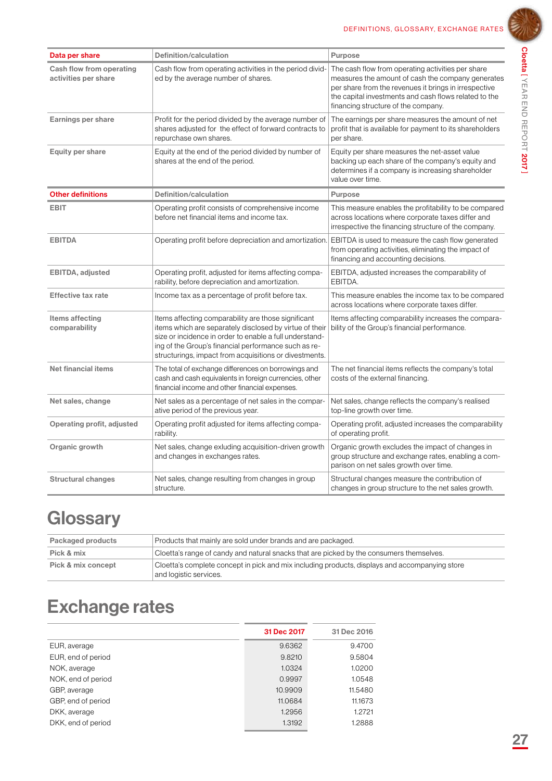

| Data per share                                   | Definition/calculation                                                                                                                                                                                                                                                                      | <b>Purpose</b>                                                                                                                                                                                                                                                  |
|--------------------------------------------------|---------------------------------------------------------------------------------------------------------------------------------------------------------------------------------------------------------------------------------------------------------------------------------------------|-----------------------------------------------------------------------------------------------------------------------------------------------------------------------------------------------------------------------------------------------------------------|
| Cash flow from operating<br>activities per share | Cash flow from operating activities in the period divid-<br>ed by the average number of shares.                                                                                                                                                                                             | The cash flow from operating activities per share<br>measures the amount of cash the company generates<br>per share from the revenues it brings in irrespective<br>the capital investments and cash flows related to the<br>financing structure of the company. |
| Earnings per share                               | Profit for the period divided by the average number of<br>shares adjusted for the effect of forward contracts to<br>repurchase own shares.                                                                                                                                                  | The earnings per share measures the amount of net<br>profit that is available for payment to its shareholders<br>per share.                                                                                                                                     |
| Equity per share                                 | Equity at the end of the period divided by number of<br>shares at the end of the period.                                                                                                                                                                                                    | Equity per share measures the net-asset value<br>backing up each share of the company's equity and<br>determines if a company is increasing shareholder<br>value over time.                                                                                     |
| <b>Other definitions</b>                         | Definition/calculation                                                                                                                                                                                                                                                                      | <b>Purpose</b>                                                                                                                                                                                                                                                  |
| EBIT                                             | Operating profit consists of comprehensive income<br>before net financial items and income tax.                                                                                                                                                                                             | This measure enables the profitability to be compared<br>across locations where corporate taxes differ and<br>irrespective the financing structure of the company.                                                                                              |
| <b>EBITDA</b>                                    | Operating profit before depreciation and amortization.                                                                                                                                                                                                                                      | EBITDA is used to measure the cash flow generated<br>from operating activities, eliminating the impact of<br>financing and accounting decisions.                                                                                                                |
| EBITDA, adjusted                                 | Operating profit, adjusted for items affecting compa-<br>rability, before depreciation and amortization.                                                                                                                                                                                    | EBITDA, adjusted increases the comparability of<br>EBITDA.                                                                                                                                                                                                      |
| <b>Effective tax rate</b>                        | Income tax as a percentage of profit before tax.                                                                                                                                                                                                                                            | This measure enables the income tax to be compared<br>across locations where corporate taxes differ.                                                                                                                                                            |
| Items affecting<br>comparability                 | Items affecting comparability are those significant<br>items which are separately disclosed by virtue of their<br>size or incidence in order to enable a full understand-<br>ing of the Group's financial performance such as re-<br>structurings, impact from acquisitions or divestments. | Items affecting comparability increases the compara-<br>bility of the Group's financial performance.                                                                                                                                                            |
| <b>Net financial items</b>                       | The total of exchange differences on borrowings and<br>cash and cash equivalents in foreign currencies, other<br>financial income and other financial expenses.                                                                                                                             | The net financial items reflects the company's total<br>costs of the external financing.                                                                                                                                                                        |
| Net sales, change                                | Net sales as a percentage of net sales in the compar-<br>ative period of the previous year.                                                                                                                                                                                                 | Net sales, change reflects the company's realised<br>top-line growth over time.                                                                                                                                                                                 |
| Operating profit, adjusted                       | Operating profit adjusted for items affecting compa-<br>rability.                                                                                                                                                                                                                           | Operating profit, adjusted increases the comparability<br>of operating profit.                                                                                                                                                                                  |
| Organic growth                                   | Net sales, change exluding acquisition-driven growth<br>and changes in exchanges rates.                                                                                                                                                                                                     | Organic growth excludes the impact of changes in<br>group structure and exchange rates, enabling a com-<br>parison on net sales growth over time.                                                                                                               |
| <b>Structural changes</b>                        | Net sales, change resulting from changes in group<br>structure.                                                                                                                                                                                                                             | Structural changes measure the contribution of<br>changes in group structure to the net sales growth.                                                                                                                                                           |

### **Glossary**

| Packaged products  | Products that mainly are sold under brands and are packaged.                                                             |
|--------------------|--------------------------------------------------------------------------------------------------------------------------|
| Pick & mix         | Cloetta's range of candy and natural snacks that are picked by the consumers themselves.                                 |
| Pick & mix concept | Cloetta's complete concept in pick and mix including products, displays and accompanying store<br>and logistic services. |

### Exchange rates

|                    | 31 Dec 2017 | 31 Dec 2016 |
|--------------------|-------------|-------------|
| EUR, average       | 9.6362      | 9.4700      |
| EUR, end of period | 9.8210      | 9.5804      |
| NOK, average       | 1.0324      | 1.0200      |
| NOK, end of period | 0.9997      | 1.0548      |
| GBP, average       | 10.9909     | 11.5480     |
| GBP, end of period | 11.0684     | 11.1673     |
| DKK, average       | 1.2956      | 1.2721      |
| DKK, end of period | 1.3192      | 1.2888      |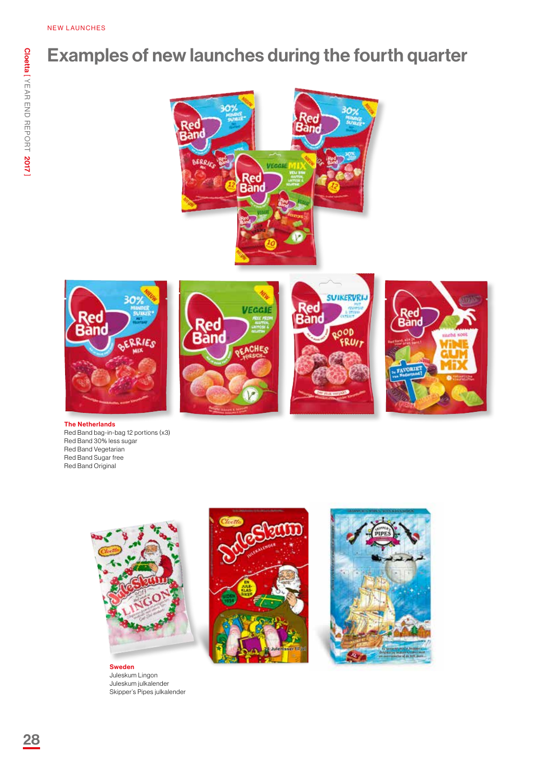### Examples of new launches during the fourth quarter











The Netherlands Red Band bag-in-bag 12 portions (x3) Red Band 30% less sugar Red Band Vegetarian Red Band Sugar free Red Band Original



Sweden Juleskum Lingon Juleskum julkalender Skipper's Pipes julkalender



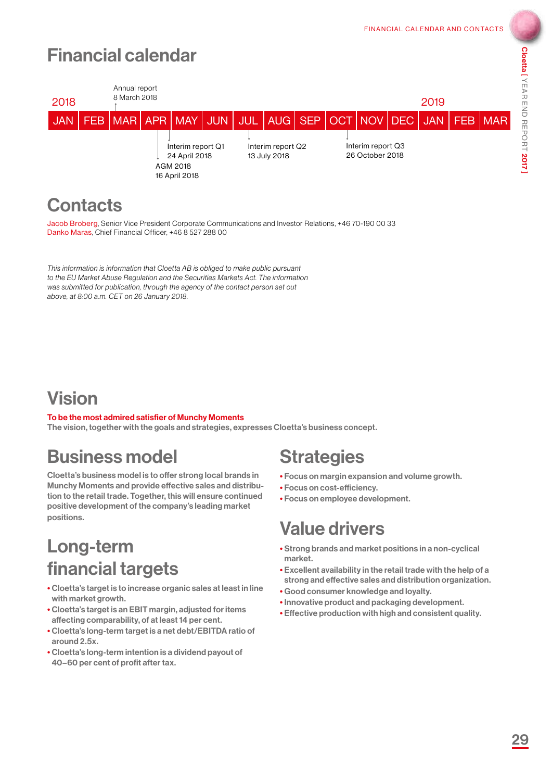# Cloetta [ YEAR END REPORT 2017

### Financial calendar



### **Contacts**

Jacob Broberg, Senior Vice President Corporate Communications and Investor Relations, +46 70-190 00 33 Danko Maras, Chief Financial Officer, +46 8 527 288 00

*This information is information that Cloetta AB is obliged to make public pursuant to the EU Market Abuse Regulation and the Securities Markets Act. The information was submitted for publication, through the agency of the contact person set out above, at 8:00 a.m. CET on 26 January 2018.*

### Vision

### To be the most admired satisfier of Munchy Moments

The vision, together with the goals and strategies, expresses Cloetta's business concept.

### Business model

Cloetta's business model is to offer strong local brands in Munchy Moments and provide effective sales and distribution to the retail trade. Together, this will ensure continued positive development of the company's leading market positions.

### Long-term financial targets

- Cloetta's target is to increase organic sales at least in line with market growth.
- Cloetta's target is an EBIT margin, adjusted for items affecting comparability, of at least 14 per cent.
- Cloetta's long-term target is a net debt/EBITDA ratio of around 2.5x.
- Cloetta's long-term intention is a dividend payout of 40–60 per cent of profit after tax.

### **Strategies**

- Focus on margin expansion and volume growth.
- Focus on cost-efficiency.
- Focus on employee development.

### Value drivers

- Strong brands and market positions in a non-cyclical market.
- Excellent availability in the retail trade with the help of a strong and effective sales and distribution organization.
- Good consumer knowledge and loyalty.
- Innovative product and packaging development.
- Effective production with high and consistent quality.